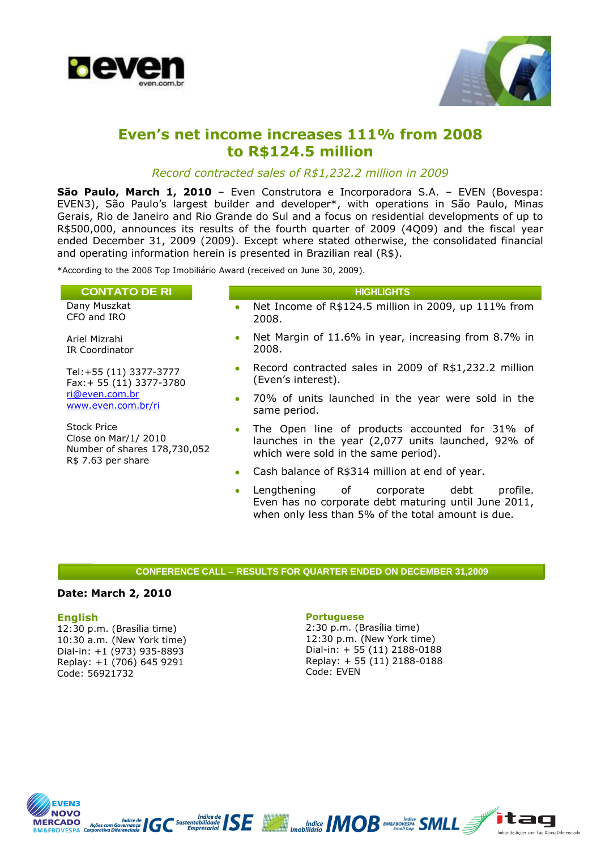



# **Even's net income increases 111% from 2008 to R\$124.5 million**

### *Record contracted sales of R\$1,232.2 million in 2009*

**São Paulo, March 1, 2010** – Even Construtora e Incorporadora S.A. – EVEN (Bovespa: EVEN3), São Paulo's largest builder and developer\*, with operations in São Paulo, Minas Gerais, Rio de Janeiro and Rio Grande do Sul and a focus on residential developments of up to R\$500,000, announces its results of the fourth quarter of 2009 (4Q09) and the fiscal year ended December 31, 2009 (2009). Except where stated otherwise, the consolidated financial and operating information herein is presented in Brazilian real (R\$).

\*According to the 2008 Top Imobiliário Award (received on June 30, 2009).

| <b>CONTATO DE RI</b>                                                      | <b>HIGHLIGHTS</b>                                                                                                                                |
|---------------------------------------------------------------------------|--------------------------------------------------------------------------------------------------------------------------------------------------|
| Dany Muszkat<br>CFO and IRO                                               | Net Income of R\$124.5 million in 2009, up 111% from<br>$\bullet$<br>2008.                                                                       |
| Ariel Mizrahi<br>IR Coordinator                                           | Net Margin of 11.6% in year, increasing from 8.7% in<br>$\bullet$<br>2008.                                                                       |
| Tel: +55 (11) 3377-3777<br>Fax: + 55 (11) 3377-3780                       | Record contracted sales in 2009 of R\$1,232.2 million<br>$\bullet$<br>(Even's interest).                                                         |
| ri@even.com.br<br>www.even.com.br/ri                                      | • 70% of units launched in the year were sold in the<br>same period.                                                                             |
| <b>Stock Price</b><br>Close on Mar/1/2010<br>Number of shares 178,730,052 | The Open line of products accounted for 31% of<br>۰<br>launches in the year (2,077 units launched, 92% of<br>which were sold in the same period) |

- which were sold in the same period).
- Cash balance of R\$314 million at end of year.
- Lengthening of corporate debt profile. Even has no corporate debt maturing until June 2011, when only less than 5% of the total amount is due.

#### **CONFERENCE CALL – RESULTS FOR QUARTER ENDED ON DECEMBER 31,2009**

#### **Date: March 2, 2010**

R\$ 7.63 per share

#### **English**

12:30 p.m. (Brasília time) 10:30 a.m. (New York time) Dial-in: +1 (973) 935-8893 Replay: +1 (706) 645 9291 Code: 56921732

#### **Portuguese**

2:30 p.m. (Brasília time) 12:30 p.m. (New York time) Dial-in: + 55 (11) 2188-0188 Replay: + 55 (11) 2188-0188 Code: EVEN



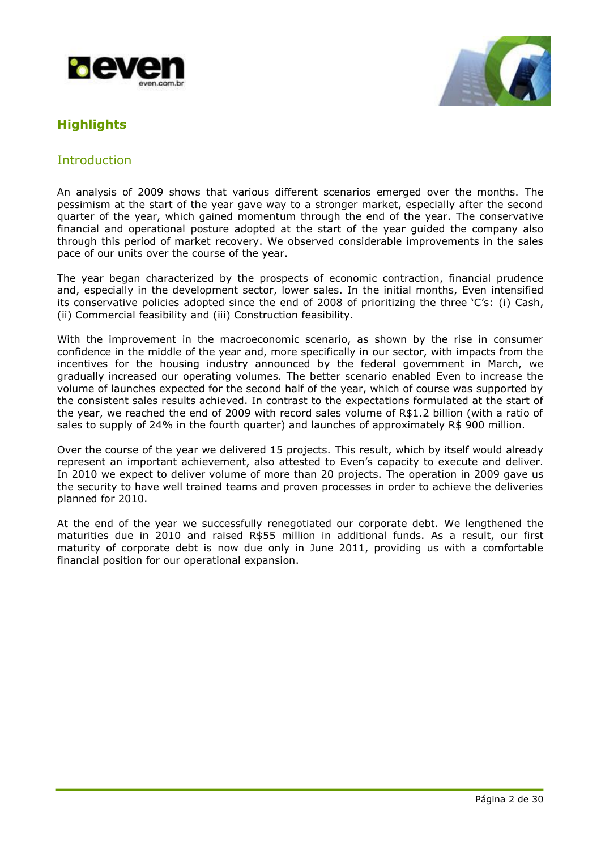



# **Highlights**

## Introduction

An analysis of 2009 shows that various different scenarios emerged over the months. The pessimism at the start of the year gave way to a stronger market, especially after the second quarter of the year, which gained momentum through the end of the year. The conservative financial and operational posture adopted at the start of the year guided the company also through this period of market recovery. We observed considerable improvements in the sales pace of our units over the course of the year.

The year began characterized by the prospects of economic contraction, financial prudence and, especially in the development sector, lower sales. In the initial months, Even intensified its conservative policies adopted since the end of 2008 of prioritizing the three 'C's: (i) Cash, (ii) Commercial feasibility and (iii) Construction feasibility.

With the improvement in the macroeconomic scenario, as shown by the rise in consumer confidence in the middle of the year and, more specifically in our sector, with impacts from the incentives for the housing industry announced by the federal government in March, we gradually increased our operating volumes. The better scenario enabled Even to increase the volume of launches expected for the second half of the year, which of course was supported by the consistent sales results achieved. In contrast to the expectations formulated at the start of the year, we reached the end of 2009 with record sales volume of R\$1.2 billion (with a ratio of sales to supply of 24% in the fourth quarter) and launches of approximately R\$ 900 million.

Over the course of the year we delivered 15 projects. This result, which by itself would already represent an important achievement, also attested to Even's capacity to execute and deliver. In 2010 we expect to deliver volume of more than 20 projects. The operation in 2009 gave us the security to have well trained teams and proven processes in order to achieve the deliveries planned for 2010.

At the end of the year we successfully renegotiated our corporate debt. We lengthened the maturities due in 2010 and raised R\$55 million in additional funds. As a result, our first maturity of corporate debt is now due only in June 2011, providing us with a comfortable financial position for our operational expansion.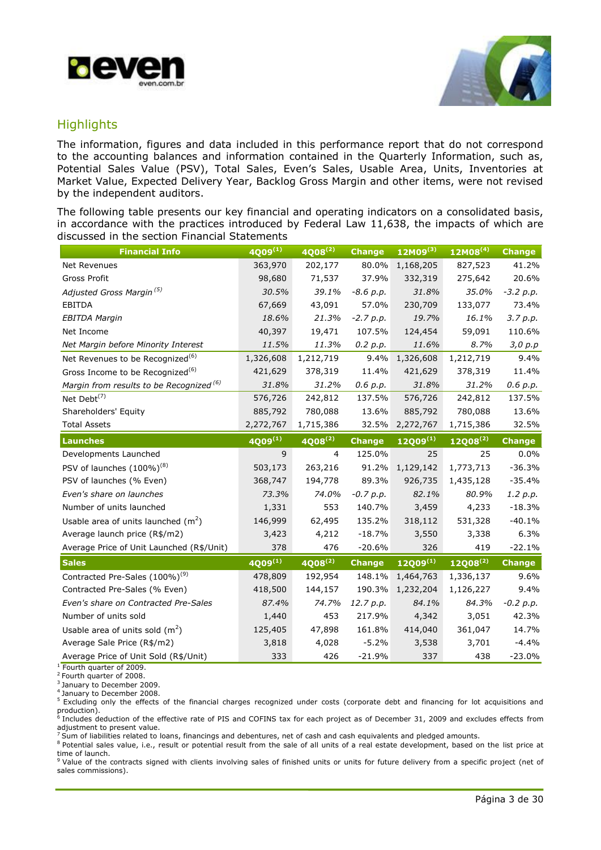



## **Highlights**

The information, figures and data included in this performance report that do not correspond to the accounting balances and information contained in the Quarterly Information, such as, Potential Sales Value (PSV), Total Sales, Even's Sales, Usable Area, Units, Inventories at Market Value, Expected Delivery Year, Backlog Gross Margin and other items, were not revised by the independent auditors.

The following table presents our key financial and operating indicators on a consolidated basis, in accordance with the practices introduced by Federal Law 11,638, the impacts of which are discussed in the section Financial Statements

| <b>Financial Info</b>                               | $4009^{(1)}$ | $4008^{(2)}$   | <b>Change</b> | $12M09^{(3)}$ | $12M08^{(4)}$ | <b>Change</b> |
|-----------------------------------------------------|--------------|----------------|---------------|---------------|---------------|---------------|
| Net Revenues                                        | 363,970      | 202,177        | 80.0%         | 1,168,205     | 827,523       | 41.2%         |
| <b>Gross Profit</b>                                 | 98,680       | 71,537         | 37.9%         | 332,319       | 275,642       | 20.6%         |
| Adjusted Gross Margin <sup>(5)</sup>                | 30.5%        | 39.1%          | $-8.6$ p.p.   | 31.8%         | 35.0%         | $-3.2 p.p.$   |
| <b>EBITDA</b>                                       | 67,669       | 43,091         | 57.0%         | 230,709       | 133,077       | 73.4%         |
| <b>EBITDA Margin</b>                                | 18.6%        | 21.3%          | $-2.7 p.p.$   | 19.7%         | 16.1%         | 3.7 p.p.      |
| Net Income                                          | 40,397       | 19,471         | 107.5%        | 124,454       | 59,091        | 110.6%        |
| Net Margin before Minority Interest                 | 11.5%        | 11.3%          | 0.2 p.p.      | 11.6%         | 8.7%          | 3,0 p.p       |
| Net Revenues to be Recognized <sup>(6)</sup>        | 1,326,608    | 1,212,719      | 9.4%          | 1,326,608     | 1,212,719     | 9.4%          |
| Gross Income to be Recognized <sup>(6)</sup>        | 421,629      | 378,319        | 11.4%         | 421,629       | 378,319       | 11.4%         |
| Margin from results to be Recognized <sup>(6)</sup> | 31.8%        | 31.2%          | 0.6 p.p.      | 31.8%         | 31.2%         | 0.6 p.p.      |
| Net Debt $^{(7)}$                                   | 576,726      | 242,812        | 137.5%        | 576,726       | 242,812       | 137.5%        |
| Shareholders' Equity                                | 885,792      | 780,088        | 13.6%         | 885,792       | 780,088       | 13.6%         |
| <b>Total Assets</b>                                 | 2,272,767    | 1,715,386      | 32.5%         | 2,272,767     | 1,715,386     | 32.5%         |
| <b>Launches</b>                                     | $4009^{(1)}$ | $4008^{(2)}$   | <b>Change</b> | $12Q09^{(1)}$ | $12Q08^{(2)}$ | <b>Change</b> |
| Developments Launched                               | 9            | $\overline{4}$ | 125.0%        | 25            | 25            | 0.0%          |
| PSV of launches $(100\%)^{(8)}$                     | 503,173      | 263,216        | 91.2%         | 1,129,142     | 1,773,713     | $-36.3%$      |
| PSV of launches (% Even)                            | 368,747      | 194,778        | 89.3%         | 926,735       | 1,435,128     | $-35.4%$      |
| Even's share on launches                            | 73.3%        | 74.0%          | $-0.7 p.p.$   | 82.1%         | 80.9%         | 1.2 p.p.      |
| Number of units launched                            | 1,331        | 553            | 140.7%        | 3,459         | 4,233         | $-18.3%$      |
| Usable area of units launched $(m^2)$               | 146,999      | 62,495         | 135.2%        | 318,112       | 531,328       | $-40.1%$      |
| Average launch price (R\$/m2)                       | 3,423        | 4,212          | $-18.7%$      | 3,550         | 3,338         | 6.3%          |
| Average Price of Unit Launched (R\$/Unit)           | 378          | 476            | $-20.6%$      | 326           | 419           | $-22.1%$      |
| <b>Sales</b>                                        | $4009^{(1)}$ | $4008^{(2)}$   | <b>Change</b> | $12Q09^{(1)}$ | 12Q08(2)      | <b>Change</b> |
| Contracted Pre-Sales (100%) <sup>(9)</sup>          | 478,809      | 192,954        | 148.1%        | 1,464,763     | 1,336,137     | 9.6%          |
| Contracted Pre-Sales (% Even)                       | 418,500      | 144,157        | 190.3%        | 1,232,204     | 1,126,227     | 9.4%          |
| Even's share on Contracted Pre-Sales                | 87.4%        | 74.7%          | 12.7 p.p.     | 84.1%         | 84.3%         | $-0.2 p.p.$   |
| Number of units sold                                | 1,440        | 453            | 217.9%        | 4,342         | 3,051         | 42.3%         |
| Usable area of units sold $(m^2)$                   |              |                |               |               |               |               |
|                                                     | 125,405      | 47,898         | 161.8%        | 414,040       | 361,047       | 14.7%         |
| Average Sale Price (R\$/m2)                         | 3,818        | 4,028          | $-5.2%$       | 3,538         | 3,701         | $-4.4%$       |

<sup>1</sup> Fourth quarter of 2009.

<sup>2</sup> Fourth quarter of 2008.

<sup>3</sup> January to December 2009.

<sup>4</sup> January to December 2008.

<sup>5</sup>Excluding only the effects of the financial charges recognized under costs (corporate debt and financing for lot acquisitions and production).<br><sup>6</sup> Includes deduction of the effective rate of PIS and COFINS tax for each project as of December 31, 2009 and excludes effects from

adjustment to present value. <sup>7</sup> Sum of liabilities related to loans, financings and debentures, net of cash and cash equivalents and pledged amounts.

8 Potential sales value, i.e., result or potential result from the sale of all units of a real estate development, based on the list price at time of launch.<br><sup>9</sup> Value of the contracts signed with clients involving sales of finished units or units for future delivery from a specific project (net of

sales commissions).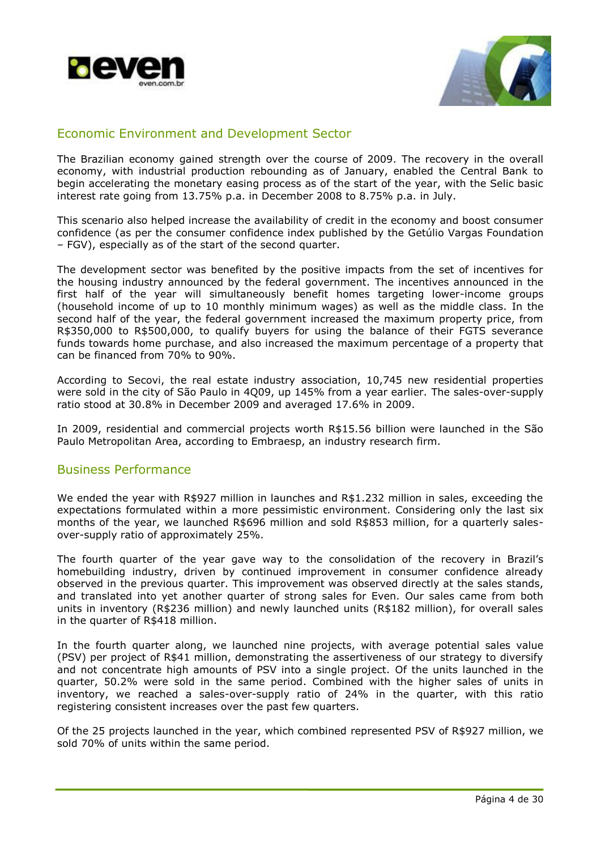



## Economic Environment and Development Sector

The Brazilian economy gained strength over the course of 2009. The recovery in the overall economy, with industrial production rebounding as of January, enabled the Central Bank to begin accelerating the monetary easing process as of the start of the year, with the Selic basic interest rate going from 13.75% p.a. in December 2008 to 8.75% p.a. in July.

This scenario also helped increase the availability of credit in the economy and boost consumer confidence (as per the consumer confidence index published by the Getúlio Vargas Foundation – FGV), especially as of the start of the second quarter.

The development sector was benefited by the positive impacts from the set of incentives for the housing industry announced by the federal government. The incentives announced in the first half of the year will simultaneously benefit homes targeting lower-income groups (household income of up to 10 monthly minimum wages) as well as the middle class. In the second half of the year, the federal government increased the maximum property price, from R\$350,000 to R\$500,000, to qualify buyers for using the balance of their FGTS severance funds towards home purchase, and also increased the maximum percentage of a property that can be financed from 70% to 90%.

According to Secovi, the real estate industry association, 10,745 new residential properties were sold in the city of São Paulo in 4Q09, up 145% from a year earlier. The sales-over-supply ratio stood at 30.8% in December 2009 and averaged 17.6% in 2009.

In 2009, residential and commercial projects worth R\$15.56 billion were launched in the São Paulo Metropolitan Area, according to Embraesp, an industry research firm.

## Business Performance

We ended the year with R\$927 million in launches and R\$1.232 million in sales, exceeding the expectations formulated within a more pessimistic environment. Considering only the last six months of the year, we launched R\$696 million and sold R\$853 million, for a quarterly salesover-supply ratio of approximately 25%.

The fourth quarter of the year gave way to the consolidation of the recovery in Brazil's homebuilding industry, driven by continued improvement in consumer confidence already observed in the previous quarter. This improvement was observed directly at the sales stands, and translated into yet another quarter of strong sales for Even. Our sales came from both units in inventory (R\$236 million) and newly launched units (R\$182 million), for overall sales in the quarter of R\$418 million.

In the fourth quarter along, we launched nine projects, with average potential sales value (PSV) per project of R\$41 million, demonstrating the assertiveness of our strategy to diversify and not concentrate high amounts of PSV into a single project. Of the units launched in the quarter, 50.2% were sold in the same period. Combined with the higher sales of units in inventory, we reached a sales-over-supply ratio of 24% in the quarter, with this ratio registering consistent increases over the past few quarters.

Of the 25 projects launched in the year, which combined represented PSV of R\$927 million, we sold 70% of units within the same period.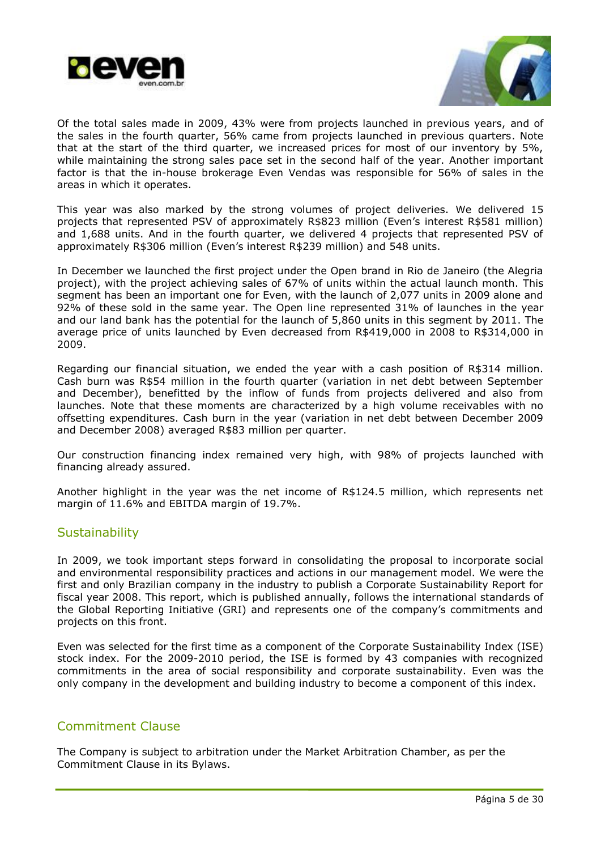



Of the total sales made in 2009, 43% were from projects launched in previous years, and of the sales in the fourth quarter, 56% came from projects launched in previous quarters. Note that at the start of the third quarter, we increased prices for most of our inventory by 5%, while maintaining the strong sales pace set in the second half of the year. Another important factor is that the in-house brokerage Even Vendas was responsible for 56% of sales in the areas in which it operates.

This year was also marked by the strong volumes of project deliveries. We delivered 15 projects that represented PSV of approximately R\$823 million (Even's interest R\$581 million) and 1,688 units. And in the fourth quarter, we delivered 4 projects that represented PSV of approximately R\$306 million (Even's interest R\$239 million) and 548 units.

In December we launched the first project under the Open brand in Rio de Janeiro (the Alegria project), with the project achieving sales of 67% of units within the actual launch month. This segment has been an important one for Even, with the launch of 2,077 units in 2009 alone and 92% of these sold in the same year. The Open line represented 31% of launches in the year and our land bank has the potential for the launch of 5,860 units in this segment by 2011. The average price of units launched by Even decreased from R\$419,000 in 2008 to R\$314,000 in 2009.

Regarding our financial situation, we ended the year with a cash position of R\$314 million. Cash burn was R\$54 million in the fourth quarter (variation in net debt between September and December), benefitted by the inflow of funds from projects delivered and also from launches. Note that these moments are characterized by a high volume receivables with no offsetting expenditures. Cash burn in the year (variation in net debt between December 2009 and December 2008) averaged R\$83 million per quarter.

Our construction financing index remained very high, with 98% of projects launched with financing already assured.

Another highlight in the year was the net income of R\$124.5 million, which represents net margin of 11.6% and EBITDA margin of 19.7%.

## **Sustainability**

In 2009, we took important steps forward in consolidating the proposal to incorporate social and environmental responsibility practices and actions in our management model. We were the first and only Brazilian company in the industry to publish a Corporate Sustainability Report for fiscal year 2008. This report, which is published annually, follows the international standards of the Global Reporting Initiative (GRI) and represents one of the company's commitments and projects on this front.

Even was selected for the first time as a component of the Corporate Sustainability Index (ISE) stock index. For the 2009-2010 period, the ISE is formed by 43 companies with recognized commitments in the area of social responsibility and corporate sustainability. Even was the only company in the development and building industry to become a component of this index.

## Commitment Clause

The Company is subject to arbitration under the Market Arbitration Chamber, as per the Commitment Clause in its Bylaws.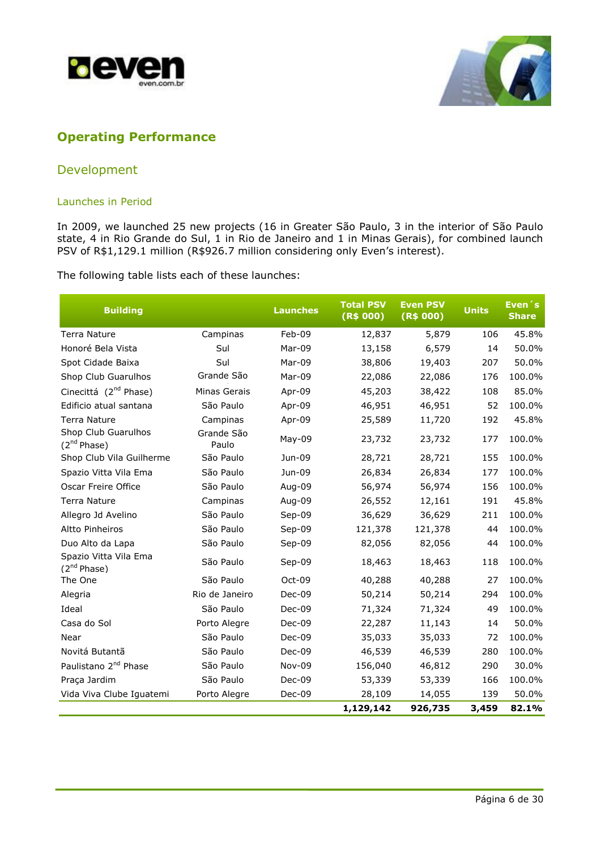



# **Operating Performance**

## Development

### Launches in Period

In 2009, we launched 25 new projects (16 in Greater São Paulo, 3 in the interior of São Paulo state, 4 in Rio Grande do Sul, 1 in Rio de Janeiro and 1 in Minas Gerais), for combined launch PSV of R\$1,129.1 million (R\$926.7 million considering only Even's interest).

The following table lists each of these launches:

| <b>Building</b>                           |                     | <b>Launches</b> | <b>Total PSV</b><br>(R\$ 000) | <b>Even PSV</b><br>(R\$ 000) | <b>Units</b> | Even <sup>'</sup> s<br><b>Share</b> |
|-------------------------------------------|---------------------|-----------------|-------------------------------|------------------------------|--------------|-------------------------------------|
| <b>Terra Nature</b>                       | Campinas            | Feb-09          | 12,837                        | 5,879                        | 106          | 45.8%                               |
| Honoré Bela Vista                         | Sul                 | Mar-09          | 13,158                        | 6,579                        | 14           | 50.0%                               |
| Spot Cidade Baixa                         | Sul                 | Mar-09          | 38,806                        | 19,403                       | 207          | 50.0%                               |
| Shop Club Guarulhos                       | Grande São          | Mar-09          | 22,086                        | 22,086                       | 176          | 100.0%                              |
| Cinecittá (2 <sup>nd</sup> Phase)         | Minas Gerais        | Apr-09          | 45,203                        | 38,422                       | 108          | 85.0%                               |
| Edificio atual santana                    | São Paulo           | Apr-09          | 46,951                        | 46,951                       | 52           | 100.0%                              |
| <b>Terra Nature</b>                       | Campinas            | Apr-09          | 25,589                        | 11,720                       | 192          | 45.8%                               |
| Shop Club Guarulhos<br>$(2^{nd}$ Phase)   | Grande São<br>Paulo | May-09          | 23,732                        | 23,732                       | 177          | 100.0%                              |
| Shop Club Vila Guilherme                  | São Paulo           | Jun-09          | 28,721                        | 28,721                       | 155          | 100.0%                              |
| Spazio Vitta Vila Ema                     | São Paulo           | Jun-09          | 26,834                        | 26,834                       | 177          | 100.0%                              |
| Oscar Freire Office                       | São Paulo           | Aug-09          | 56,974                        | 56,974                       | 156          | 100.0%                              |
| <b>Terra Nature</b>                       | Campinas            | Aug-09          | 26,552                        | 12,161                       | 191          | 45.8%                               |
| Allegro Jd Avelino                        | São Paulo           | Sep-09          | 36,629                        | 36,629                       | 211          | 100.0%                              |
| <b>Altto Pinheiros</b>                    | São Paulo           | Sep-09          | 121,378                       | 121,378                      | 44           | 100.0%                              |
| Duo Alto da Lapa                          | São Paulo           | Sep-09          | 82,056                        | 82,056                       | 44           | 100.0%                              |
| Spazio Vitta Vila Ema<br>$(2^{nd}$ Phase) | São Paulo           | Sep-09          | 18,463                        | 18,463                       | 118          | 100.0%                              |
| The One                                   | São Paulo           | Oct-09          | 40,288                        | 40,288                       | 27           | 100.0%                              |
| Alegria                                   | Rio de Janeiro      | Dec-09          | 50,214                        | 50,214                       | 294          | 100.0%                              |
| Ideal                                     | São Paulo           | Dec-09          | 71,324                        | 71,324                       | 49           | 100.0%                              |
| Casa do Sol                               | Porto Alegre        | Dec-09          | 22,287                        | 11,143                       | 14           | 50.0%                               |
| Near                                      | São Paulo           | $Dec-09$        | 35,033                        | 35,033                       | 72           | 100.0%                              |
| Novitá Butantã                            | São Paulo           | Dec-09          | 46,539                        | 46,539                       | 280          | 100.0%                              |
| Paulistano 2 <sup>nd</sup> Phase          | São Paulo           | Nov-09          | 156,040                       | 46,812                       | 290          | 30.0%                               |
| Praça Jardim                              | São Paulo           | Dec-09          | 53,339                        | 53,339                       | 166          | 100.0%                              |
| Vida Viva Clube Iguatemi                  | Porto Alegre        | Dec-09          | 28,109                        | 14,055                       | 139          | 50.0%                               |
|                                           |                     |                 | 1,129,142                     | 926,735                      | 3,459        | 82.1%                               |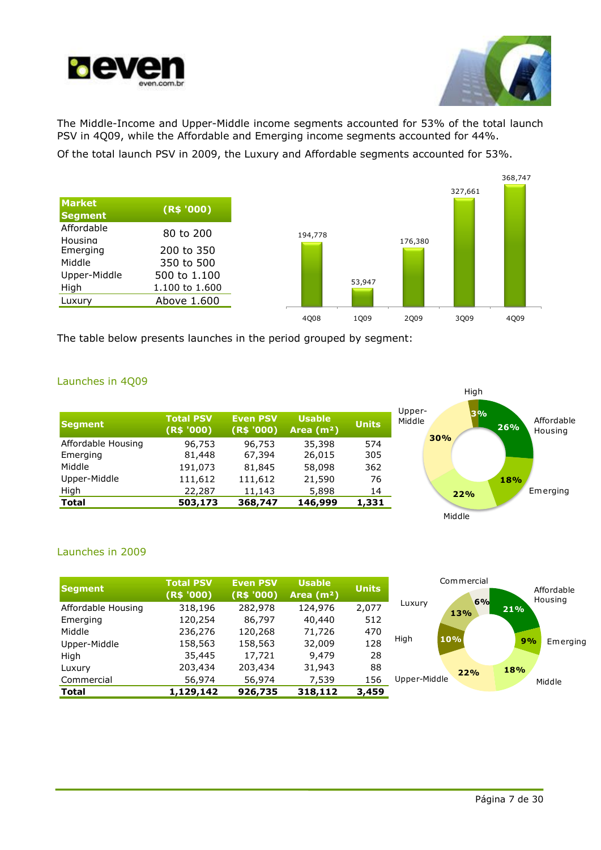



High

The Middle-Income and Upper-Middle income segments accounted for 53% of the total launch PSV in 4Q09, while the Affordable and Emerging income segments accounted for 44%.

Of the total launch PSV in 2009, the Luxury and Affordable segments accounted for 53%.



The table below presents launches in the period grouped by segment:

### Launches in 4Q09

| Segment            | <b>Total PSV</b><br>(R\$ '000) | <b>Even PSV</b><br>(R\$ '000) | <b>Usable</b><br>Area $(m2)$ | <b>Units</b> | Upper-<br>3%<br>Affordable<br>Middle<br>26%<br>Housing |  |
|--------------------|--------------------------------|-------------------------------|------------------------------|--------------|--------------------------------------------------------|--|
| Affordable Housing | 96,753                         | 96,753                        | 35,398                       | 574          | 30%                                                    |  |
| Emerging           | 81,448                         | 67,394                        | 26,015                       | 305          |                                                        |  |
| Middle             | 191,073                        | 81,845                        | 58,098                       | 362          |                                                        |  |
| Upper-Middle       | 111,612                        | 111,612                       | 21,590                       | 76           | 18%                                                    |  |
| High               | 22,287                         | 11,143                        | 5,898                        | 14           | Emerging<br>22%                                        |  |
| <b>Total</b>       | 503,173                        | 368,747                       | 146,999                      | 1,331        |                                                        |  |
|                    |                                |                               |                              |              | Middle                                                 |  |

## Launches in 2009

| Segment            | <b>Total PSV</b><br>(R\$ '000) | <b>Even PSV</b><br>(R\$ '000) | <b>Usable</b><br>Area $(m2)$ | <b>Units</b> | Commercial<br>Affordable<br>Housing<br>6% |
|--------------------|--------------------------------|-------------------------------|------------------------------|--------------|-------------------------------------------|
| Affordable Housing | 318,196                        | 282,978                       | 124,976                      | 2,077        | Luxury<br>21%<br>13%                      |
| Emerging           | 120,254                        | 86,797                        | 40,440                       | 512          |                                           |
| Middle             | 236,276                        | 120,268                       | 71,726                       | 470          |                                           |
| Upper-Middle       | 158,563                        | 158,563                       | 32,009                       | 128          | High<br>10%<br>9%<br>Emerging             |
| High               | 35,445                         | 17,721                        | 9,479                        | 28           |                                           |
| Luxury             | 203,434                        | 203,434                       | 31,943                       | 88           | 18%<br>22%                                |
| Commercial         | 56,974                         | 56,974                        | 7,539                        | 156          | Upper-Middle<br>Middle                    |
| <b>Total</b>       | 1,129,142                      | 926,735                       | 318,112                      | 3,459        |                                           |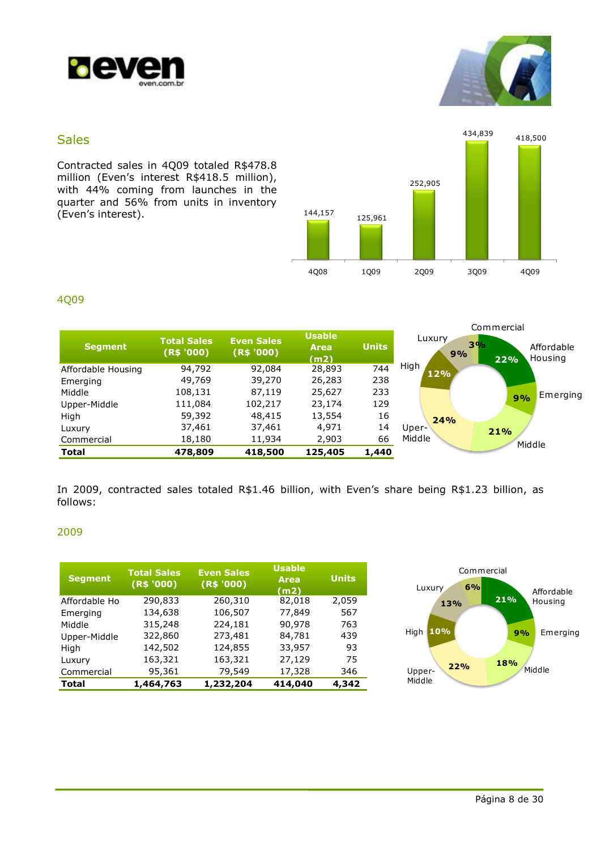



## Sales

Contracted sales in 4Q09 totaled R\$478.8 million (Even's interest R\$418.5 million), with 44% coming from launches in the quarter and 56% from units in inventory (Even's interest).



## 4Q09

|                    |                                  |                                 |                                      |              |              | Commercial                         |
|--------------------|----------------------------------|---------------------------------|--------------------------------------|--------------|--------------|------------------------------------|
| <b>Segment</b>     | <b>Total Sales</b><br>(R\$ '000) | <b>Even Sales</b><br>(R\$ '000) | <b>Usable</b><br><b>Area</b><br>(m2) | <b>Units</b> | Luxury<br>9% | 3%<br>Affordable<br>Housing<br>22% |
| Affordable Housing | 94,792                           | 92,084                          | 28,893                               | 744          | High<br>12%  |                                    |
| Emerging           | 49,769                           | 39,270                          | 26,283                               | 238          |              |                                    |
| Middle             | 108,131                          | 87,119                          | 25,627                               | 233          |              | Emerging<br>9%                     |
| Upper-Middle       | 111,084                          | 102,217                         | 23,174                               | 129          |              |                                    |
| High               | 59,392                           | 48,415                          | 13,554                               | 16           | 24%          |                                    |
| Luxury             | 37,461                           | 37,461                          | 4,971                                | 14           | Uper-        | 21%                                |
| Commercial         | 18,180                           | 11,934                          | 2,903                                | 66           | Middle       | Middle                             |
| <b>Total</b>       | 478,809                          | 418,500                         | 125,405                              | 1,440        |              |                                    |

In 2009, contracted sales totaled R\$1.46 billion, with Even's share being R\$1.23 billion, as follows:

## 2009

| <b>Segment</b> | <b>Total Sales</b><br>(R\$ '000) | <b>Even Sales</b><br>(R\$ '000) | <b>Usable</b><br><b>Area</b><br>(m2) | <b>Units</b> |
|----------------|----------------------------------|---------------------------------|--------------------------------------|--------------|
| Affordable Ho  | 290,833                          | 260,310                         | 82,018                               | 2,059        |
| Emerging       | 134,638                          | 106,507                         | 77,849                               | 567          |
| Middle         | 315,248                          | 224,181                         | 90,978                               | 763          |
| Upper-Middle   | 322,860                          | 273,481                         | 84,781                               | 439          |
| High           | 142,502                          | 124,855                         | 33,957                               | 93           |
| Luxury         | 163,321                          | 163,321                         | 27,129                               | 75           |
| Commercial     | 95,361                           | 79,549                          | 17,328                               | 346          |
| <b>Total</b>   | 1,464,763                        | 1,232,204                       | 414,040                              | 4,342        |

![](_page_7_Figure_10.jpeg)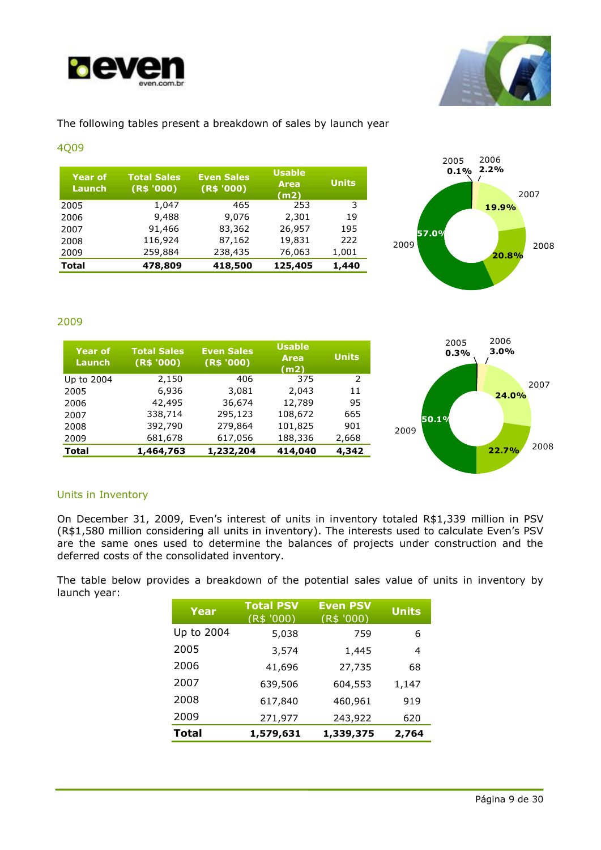![](_page_8_Picture_0.jpeg)

![](_page_8_Picture_1.jpeg)

## The following tables present a breakdown of sales by launch year

### 4Q09

| <b>Year of</b><br>Launch | <b>Total Sales</b><br>(R\$ '000) | <b>Even Sales</b><br>(R\$ '000) | <b>Usable</b><br><b>Area</b><br>(m2) | <b>Units</b> |
|--------------------------|----------------------------------|---------------------------------|--------------------------------------|--------------|
| 2005                     | 1,047                            | 465                             | 253                                  | 3            |
| 2006                     | 9,488                            | 9,076                           | 2,301                                | 19           |
| 2007                     | 91,466                           | 83,362                          | 26,957                               | 195          |
| 2008                     | 116,924                          | 87,162                          | 19,831                               | 222          |
| 2009                     | 259,884                          | 238,435                         | 76,063                               | 1,001        |
| <b>Total</b>             | 478,809                          | 418,500                         | 125,405                              | 1,440        |

![](_page_8_Figure_5.jpeg)

2007

2008

## 2009

| <b>Year of</b><br>Launch | <b>Total Sales</b><br>(R\$ '000) | <b>Even Sales</b><br>(R\$ '000) | <b>Usable</b><br><b>Area</b><br>(m2) | <b>Units</b>   |       |
|--------------------------|----------------------------------|---------------------------------|--------------------------------------|----------------|-------|
| Up to 2004               | 2,150                            | 406                             | 375                                  | $\overline{2}$ |       |
| 2005                     | 6,936                            | 3,081                           | 2,043                                | 11             |       |
| 2006                     | 42,495                           | 36,674                          | 12,789                               | 95             |       |
| 2007                     | 338,714                          | 295,123                         | 108,672                              | 665            | 50.1% |
| 2008                     | 392,790                          | 279,864                         | 101,825                              | 901            | 2009  |
| 2009                     | 681,678                          | 617,056                         | 188,336                              | 2,668          |       |
| <b>Total</b>             | 1,464,763                        | 1,232,204                       | 414,040                              | 4,342          |       |

## Units in Inventory

On December 31, 2009, Even's interest of units in inventory totaled R\$1,339 million in PSV (R\$1,580 million considering all units in inventory). The interests used to calculate Even's PSV are the same ones used to determine the balances of projects under construction and the deferred costs of the consolidated inventory.

The table below provides a breakdown of the potential sales value of units in inventory by launch year:

| Year         | <b>Total PSV</b><br>(R\$ '000) | <b>Even PSV</b><br>(R\$ '000) | <b>Units</b> |
|--------------|--------------------------------|-------------------------------|--------------|
| Up to 2004   | 5,038                          | 759                           | 6            |
| 2005         | 3,574                          | 1,445                         | 4            |
| 2006         | 41,696                         | 27,735                        | 68           |
| 2007         | 639,506                        | 604,553                       | 1,147        |
| 2008         | 617,840                        | 460,961                       | 919          |
| 2009         | 271,977                        | 243,922                       | 620          |
| <b>Total</b> | 1,579,631                      | 1,339,375                     | 2,764        |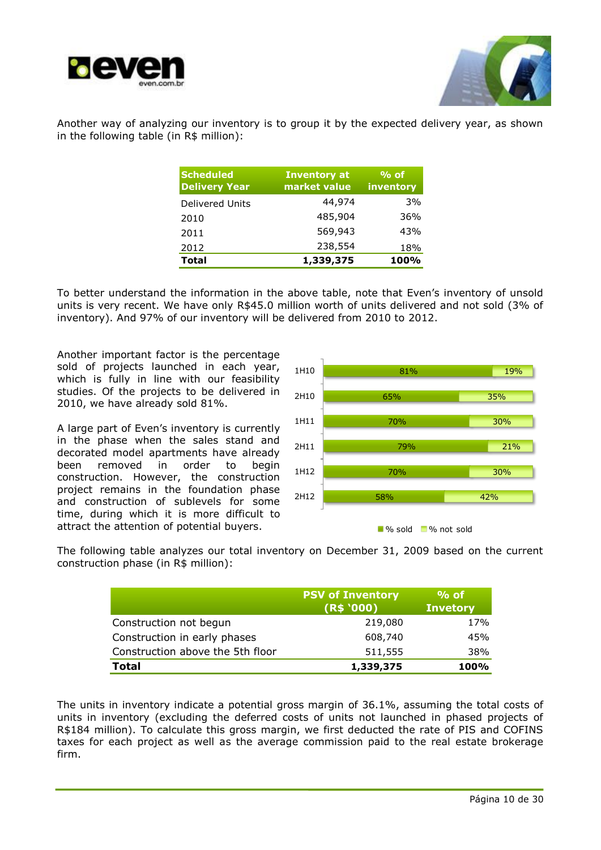![](_page_9_Picture_0.jpeg)

![](_page_9_Picture_1.jpeg)

Another way of analyzing our inventory is to group it by the expected delivery year, as shown in the following table (in R\$ million):

| <b>Scheduled</b><br><b>Delivery Year</b> | <b>Inventory at</b><br>market value | $%$ of<br>inventory |
|------------------------------------------|-------------------------------------|---------------------|
| <b>Delivered Units</b>                   | 44,974                              | 3%                  |
| 2010                                     | 485,904                             | 36%                 |
| 2011                                     | 569,943                             | 43%                 |
| 2012                                     | 238,554                             | 18%                 |
| <b>Total</b>                             | 1,339,375                           | 100%                |

To better understand the information in the above table, note that Even's inventory of unsold units is very recent. We have only R\$45.0 million worth of units delivered and not sold (3% of inventory). And 97% of our inventory will be delivered from 2010 to 2012.

Another important factor is the percentage sold of projects launched in each year, which is fully in line with our feasibility studies. Of the projects to be delivered in 2010, we have already sold 81%.

A large part of Even's inventory is currently in the phase when the sales stand and decorated model apartments have already been removed in order to begin construction. However, the construction project remains in the foundation phase and construction of sublevels for some time, during which it is more difficult to attract the attention of potential buyers.

![](_page_9_Figure_7.jpeg)

![](_page_9_Figure_8.jpeg)

The following table analyzes our total inventory on December 31, 2009 based on the current construction phase (in R\$ million):

|                                  | <b>PSV of Inventory</b><br>(R\$ '000) | $%$ of<br><b>Invetory</b> |
|----------------------------------|---------------------------------------|---------------------------|
| Construction not begun           | 219,080                               | 17%                       |
| Construction in early phases     | 608,740                               | 45%                       |
| Construction above the 5th floor | 511,555                               | 38%                       |
| <b>Total</b>                     | 1,339,375                             | 100%                      |

The units in inventory indicate a potential gross margin of 36.1%, assuming the total costs of units in inventory (excluding the deferred costs of units not launched in phased projects of R\$184 million). To calculate this gross margin, we first deducted the rate of PIS and COFINS taxes for each project as well as the average commission paid to the real estate brokerage firm.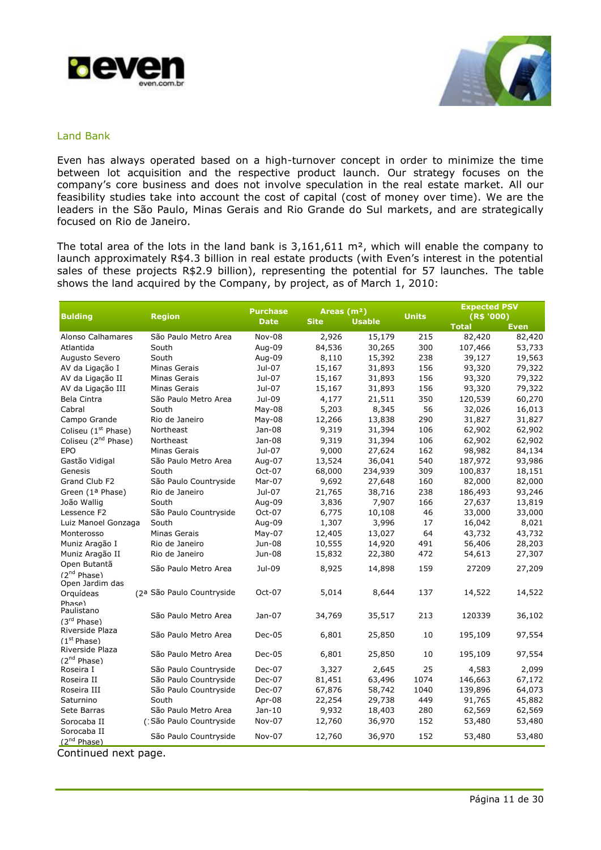![](_page_10_Picture_0.jpeg)

![](_page_10_Picture_1.jpeg)

### Land Bank

Even has always operated based on a high-turnover concept in order to minimize the time between lot acquisition and the respective product launch. Our strategy focuses on the company's core business and does not involve speculation in the real estate market. All our feasibility studies take into account the cost of capital (cost of money over time). We are the leaders in the São Paulo, Minas Gerais and Rio Grande do Sul markets, and are strategically focused on Rio de Janeiro.

The total area of the lots in the land bank is  $3,161,611$  m<sup>2</sup>, which will enable the company to launch approximately R\$4.3 billion in real estate products (with Even's interest in the potential sales of these projects R\$2.9 billion), representing the potential for 57 launches. The table shows the land acquired by the Company, by project, as of March 1, 2010:

| <b>Bulding</b>                  | <b>Region</b>             | <b>Purchase</b> | Areas $(m2)$ |               | <b>Units</b> | <b>Expected PSV</b><br>(R\$ '000) |             |
|---------------------------------|---------------------------|-----------------|--------------|---------------|--------------|-----------------------------------|-------------|
|                                 |                           | <b>Date</b>     | <b>Site</b>  | <b>Usable</b> |              | <b>Total</b>                      | <b>Even</b> |
| Alonso Calhamares               | São Paulo Metro Area      | Nov-08          | 2,926        | 15,179        | 215          | 82,420                            | 82,420      |
| Atlantida                       | South                     | Aug-09          | 84,536       | 30,265        | 300          | 107,466                           | 53,733      |
| Augusto Severo                  | South                     | Aug-09          | 8,110        | 15,392        | 238          | 39,127                            | 19,563      |
| AV da Ligação I                 | Minas Gerais              | Jul-07          | 15,167       | 31,893        | 156          | 93,320                            | 79,322      |
| AV da Ligação II                | Minas Gerais              | Jul-07          | 15,167       | 31,893        | 156          | 93,320                            | 79,322      |
| AV da Ligação III               | <b>Minas Gerais</b>       | Jul-07          | 15,167       | 31,893        | 156          | 93,320                            | 79,322      |
| Bela Cintra                     | São Paulo Metro Area      | Jul-09          | 4,177        | 21,511        | 350          | 120,539                           | 60,270      |
| Cabral                          | South                     | $May-08$        | 5,203        | 8,345         | 56           | 32,026                            | 16,013      |
| Campo Grande                    | Rio de Janeiro            | May-08          | 12,266       | 13,838        | 290          | 31,827                            | 31,827      |
| Coliseu (1 <sup>st</sup> Phase) | Northeast                 | Jan-08          | 9,319        | 31,394        | 106          | 62,902                            | 62,902      |
| Coliseu (2 <sup>nd</sup> Phase) | Northeast                 | Jan-08          | 9,319        | 31,394        | 106          | 62,902                            | 62,902      |
| EPO                             | Minas Gerais              | Jul-07          | 9,000        | 27,624        | 162          | 98,982                            | 84,134      |
| Gastão Vidigal                  | São Paulo Metro Area      | Aug-07          | 13,524       | 36,041        | 540          | 187,972                           | 93,986      |
| Genesis                         | South                     | Oct-07          | 68,000       | 234,939       | 309          | 100,837                           | 18,151      |
| Grand Club F2                   | São Paulo Countryside     | Mar-07          | 9,692        | 27,648        | 160          | 82,000                            | 82,000      |
| Green (1ª Phase)                | Rio de Janeiro            | Jul-07          | 21,765       | 38,716        | 238          | 186,493                           | 93,246      |
| João Wallig                     | South                     | Aug-09          | 3,836        | 7,907         | 166          | 27,637                            | 13,819      |
| Lessence F2                     | São Paulo Countryside     | Oct-07          | 6,775        | 10,108        | 46           | 33,000                            | 33,000      |
| Luiz Manoel Gonzaga             | South                     | Aug-09          | 1,307        | 3,996         | 17           | 16,042                            | 8,021       |
| Monterosso                      | Minas Gerais              | $May-07$        | 12,405       | 13,027        | 64           | 43,732                            | 43,732      |
| Muniz Aragão I                  | Rio de Janeiro            | Jun-08          | 10,555       | 14,920        | 491          | 56,406                            | 28,203      |
| Muniz Aragão II                 | Rio de Janeiro            | Jun-08          | 15,832       | 22,380        | 472          | 54,613                            | 27,307      |
| Open Butantã                    | São Paulo Metro Area      | Jul-09          | 8,925        | 14,898        | 159          | 27209                             | 27,209      |
| (2 <sup>nd</sup> Phase)         |                           |                 |              |               |              |                                   |             |
| Open Jardim das                 |                           |                 |              |               |              |                                   |             |
| Orquídeas                       | (2ª São Paulo Countryside | Oct-07          | 5,014        | 8,644         | 137          | 14,522                            | 14,522      |
| Phase)<br>Paulistano            |                           |                 |              |               |              |                                   |             |
| (3rd Phase)                     | São Paulo Metro Area      | Jan-07          | 34,769       | 35,517        | 213          | 120339                            | 36,102      |
| Riverside Plaza                 |                           |                 |              |               |              |                                   |             |
| (1 <sup>st</sup> Phase)         | São Paulo Metro Area      | Dec-05          | 6,801        | 25,850        | 10           | 195,109                           | 97,554      |
| Riverside Plaza                 |                           |                 |              |               |              |                                   |             |
| $(2^{nd}$ Phase)                | São Paulo Metro Area      | Dec-05          | 6,801        | 25,850        | 10           | 195,109                           | 97,554      |
| Roseira I                       | São Paulo Countryside     | Dec-07          | 3,327        | 2,645         | 25           | 4,583                             | 2,099       |
| Roseira II                      | São Paulo Countryside     | Dec-07          | 81,451       | 63,496        | 1074         | 146,663                           | 67,172      |
| Roseira III                     | São Paulo Countryside     | Dec-07          | 67,876       | 58,742        | 1040         | 139,896                           | 64,073      |
| Saturnino                       | South                     | Apr-08          | 22,254       | 29,738        | 449          | 91,765                            | 45,882      |
| Sete Barras                     | São Paulo Metro Area      | Jan-10          | 9,932        | 18,403        | 280          | 62,569                            | 62,569      |
| Sorocaba II                     | (1São Paulo Countryside   | Nov-07          | 12,760       | 36,970        | 152          | 53,480                            | 53,480      |
| Sorocaba II                     | São Paulo Countryside     | Nov-07          | 12,760       | 36,970        | 152          | 53,480                            | 53,480      |
| (2 <sup>nd</sup> Phase)         |                           |                 |              |               |              |                                   |             |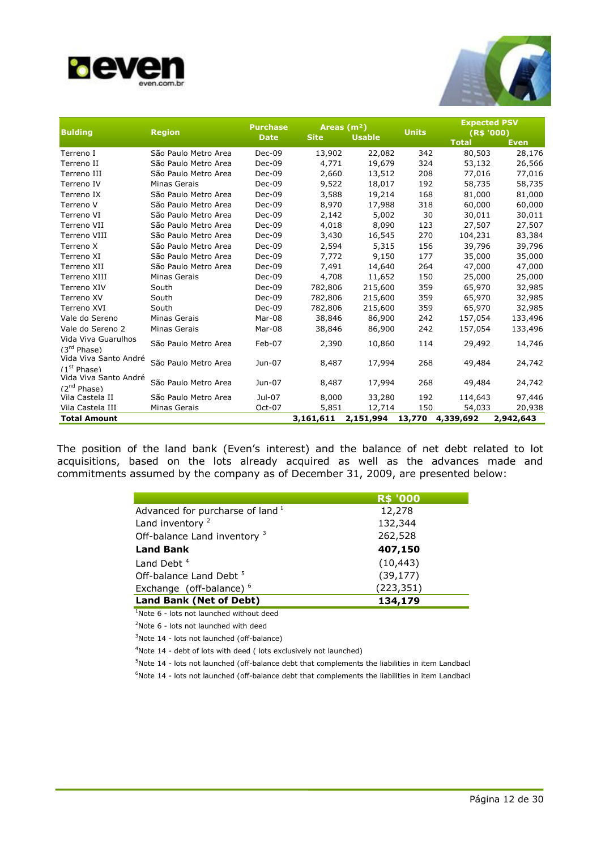![](_page_11_Picture_0.jpeg)

![](_page_11_Picture_1.jpeg)

| <b>Bulding</b>          | <b>Region</b>        | <b>Purchase</b> |             | Areas $(m2)$  | <b>Units</b> |              | <b>Expected PSV</b><br>(R\$ '000) |  |
|-------------------------|----------------------|-----------------|-------------|---------------|--------------|--------------|-----------------------------------|--|
|                         |                      | <b>Date</b>     | <b>Site</b> | <b>Usable</b> |              | <b>Total</b> | Even                              |  |
| Terreno I               | São Paulo Metro Area | Dec-09          | 13,902      | 22,082        | 342          | 80,503       | 28,176                            |  |
| Terreno II              | São Paulo Metro Area | Dec-09          | 4,771       | 19,679        | 324          | 53,132       | 26,566                            |  |
| Terreno III             | São Paulo Metro Area | Dec-09          | 2,660       | 13,512        | 208          | 77,016       | 77,016                            |  |
| Terreno IV              | <b>Minas Gerais</b>  | Dec-09          | 9,522       | 18,017        | 192          | 58,735       | 58,735                            |  |
| Terreno IX              | São Paulo Metro Area | Dec-09          | 3,588       | 19,214        | 168          | 81,000       | 81,000                            |  |
| Terreno V               | São Paulo Metro Area | Dec-09          | 8,970       | 17,988        | 318          | 60,000       | 60,000                            |  |
| Terreno VI              | São Paulo Metro Area | Dec-09          | 2,142       | 5,002         | 30           | 30,011       | 30,011                            |  |
| Terreno VII             | São Paulo Metro Area | Dec-09          | 4,018       | 8,090         | 123          | 27,507       | 27,507                            |  |
| Terreno VIII            | São Paulo Metro Area | Dec-09          | 3,430       | 16,545        | 270          | 104,231      | 83,384                            |  |
| Terreno X               | São Paulo Metro Area | Dec-09          | 2,594       | 5,315         | 156          | 39,796       | 39,796                            |  |
| Terreno XI              | São Paulo Metro Area | Dec-09          | 7,772       | 9,150         | 177          | 35,000       | 35,000                            |  |
| Terreno XII             | São Paulo Metro Area | Dec-09          | 7,491       | 14,640        | 264          | 47,000       | 47,000                            |  |
| Terreno XIII            | Minas Gerais         | Dec-09          | 4,708       | 11,652        | 150          | 25,000       | 25,000                            |  |
| Terreno XIV             | South                | Dec-09          | 782,806     | 215,600       | 359          | 65,970       | 32,985                            |  |
| Terreno XV              | South                | Dec-09          | 782,806     | 215,600       | 359          | 65,970       | 32,985                            |  |
| Terreno XVI             | South                | Dec-09          | 782,806     | 215,600       | 359          | 65,970       | 32,985                            |  |
| Vale do Sereno          | Minas Gerais         | Mar-08          | 38,846      | 86,900        | 242          | 157,054      | 133,496                           |  |
| Vale do Sereno 2        | Minas Gerais         | Mar-08          | 38,846      | 86,900        | 242          | 157,054      | 133,496                           |  |
| Vida Viva Guarulhos     | São Paulo Metro Area | Feb-07          | 2,390       | 10,860        | 114          | 29,492       | 14,746                            |  |
| (3 <sup>rd</sup> Phase) |                      |                 |             |               |              |              |                                   |  |
| Vida Viva Santo André   | São Paulo Metro Area | Jun-07          | 8,487       | 17,994        | 268          | 49,484       | 24,742                            |  |
| (1 <sup>st</sup> Phase) |                      |                 |             |               |              |              |                                   |  |
| Vida Viva Santo André   | São Paulo Metro Area | Jun-07          | 8,487       | 17,994        | 268          | 49,484       | 24,742                            |  |
| (2 <sup>nd</sup> Phase) |                      |                 |             |               |              |              |                                   |  |
| Vila Castela II         | São Paulo Metro Area | Jul-07          | 8,000       | 33,280        | 192          | 114,643      | 97,446                            |  |
| Vila Castela III        | <b>Minas Gerais</b>  | Oct-07          | 5,851       | 12,714        | 150          | 54,033       | 20,938                            |  |
| <b>Total Amount</b>     |                      |                 | 3,161,611   | 2,151,994     | 13,770       | 4,339,692    | 2,942,643                         |  |

The position of the land bank (Even's interest) and the balance of net debt related to lot acquisitions, based on the lots already acquired as well as the advances made and commitments assumed by the company as of December 31, 2009, are presented below:

|                                             | <b>R\$ '000</b> |
|---------------------------------------------|-----------------|
| Advanced for purcharse of land <sup>1</sup> | 12,278          |
| Land inventory <sup>2</sup>                 | 132,344         |
| Off-balance Land inventory <sup>3</sup>     | 262,528         |
| <b>Land Bank</b>                            | 407,150         |
| Land Debt $4$                               | (10, 443)       |
| Off-balance Land Debt <sup>5</sup>          | (39, 177)       |
| Exchange (off-balance) <sup>6</sup>         | (223, 351)      |
| Land Bank (Net of Debt)                     | 134,179         |

<sup>1</sup>Note 6 - lots not launched without deed

<sup>2</sup>Note 6 - lots not launched with deed

 $3$ Note 14 - lots not launched (off-balance)

<sup>4</sup>Note 14 - debt of lots with deed ( lots exclusively not launched)

 $5$ Note 14 - lots not launched (off-balance debt that complements the liabilities in item Landback

 $6$ Note 14 - lots not launched (off-balance debt that complements the liabilities in item Landback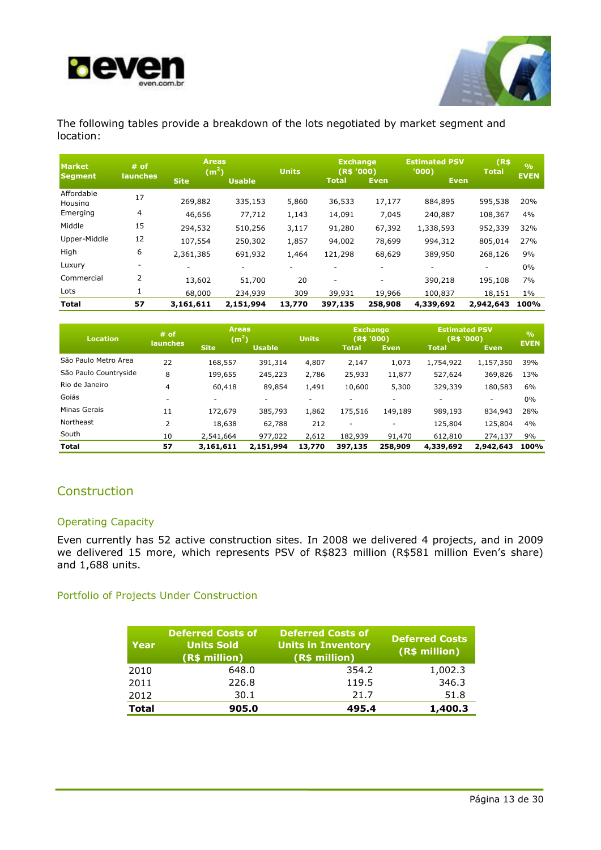![](_page_12_Picture_0.jpeg)

![](_page_12_Picture_1.jpeg)

The following tables provide a breakdown of the lots negotiated by market segment and location:

| <b>Market</b><br><b>Segment</b> | $#$ of<br>launches | <b>Areas</b><br>(m <sup>2</sup> )<br><b>Site</b> | <b>Usable</b> | <b>Units</b> | <b>Exchange</b><br>(R\$ '000)<br><b>Total</b> | <b>Even</b> | <b>Estimated PSV</b><br>'000)<br>Even | (R\$<br><b>Total</b> | $\frac{0}{0}$<br><b>EVEN</b> |
|---------------------------------|--------------------|--------------------------------------------------|---------------|--------------|-----------------------------------------------|-------------|---------------------------------------|----------------------|------------------------------|
| Affordable                      | 17                 |                                                  |               |              |                                               |             |                                       |                      |                              |
| Housing                         |                    | 269,882                                          | 335,153       | 5,860        | 36,533                                        | 17,177      | 884,895                               | 595,538              | 20%                          |
| Emerging                        | 4                  | 46,656                                           | 77,712        | 1,143        | 14,091                                        | 7,045       | 240,887                               | 108,367              | 4%                           |
| Middle                          | 15                 | 294,532                                          | 510,256       | 3,117        | 91,280                                        | 67,392      | 1,338,593                             | 952,339              | 32%                          |
| Upper-Middle                    | 12                 | 107,554                                          | 250,302       | 1,857        | 94,002                                        | 78,699      | 994,312                               | 805,014              | 27%                          |
| High                            | 6                  | 2,361,385                                        | 691,932       | 1,464        | 121,298                                       | 68,629      | 389,950                               | 268,126              | 9%                           |
| Luxury                          | ۰                  |                                                  | ۰             |              |                                               |             | ۰                                     |                      | $0\%$                        |
| Commercial                      | 2                  | 13,602                                           | 51,700        | 20           | $\overline{\phantom{a}}$                      | ۰           | 390,218                               | 195,108              | 7%                           |
| Lots                            | 1                  | 68,000                                           | 234,939       | 309          | 39,931                                        | 19,966      | 100,837                               | 18,151               | $1\%$                        |
| <b>Total</b>                    | 57                 | 3,161,611                                        | 2,151,994     | 13,770       | 397,135                                       | 258,908     | 4,339,692                             | 2,942,643            | 100%                         |

| <b>Location</b>       | <b>Areas</b><br>$#$ of<br>(m <sup>2</sup> )<br><b>launches</b> |                          |               | <b>Units</b> | <b>Exchange</b><br>(R\$ '000) |                          | <b>Estimated PSV</b><br>(R\$ '000) |                          | $\frac{0}{0}$<br><b>EVEN</b> |
|-----------------------|----------------------------------------------------------------|--------------------------|---------------|--------------|-------------------------------|--------------------------|------------------------------------|--------------------------|------------------------------|
|                       |                                                                | <b>Site</b>              | <b>Usable</b> |              | Total                         | <b>Even</b>              | <b>Total</b>                       | Even.                    |                              |
| São Paulo Metro Area  | 22                                                             | 168,557                  | 391,314       | 4,807        | 2,147                         | 1,073                    | 1,754,922                          | 1,157,350                | 39%                          |
| São Paulo Countryside | 8                                                              | 199,655                  | 245,223       | 2,786        | 25,933                        | 11,877                   | 527,624                            | 369,826                  | 13%                          |
| Rio de Janeiro        | 4                                                              | 60,418                   | 89,854        | 1,491        | 10,600                        | 5,300                    | 329,339                            | 180,583                  | 6%                           |
| Goiás                 | $\overline{\phantom{a}}$                                       | $\overline{\phantom{a}}$ |               |              |                               | -                        | $\overline{\phantom{0}}$           | $\overline{\phantom{0}}$ | 0%                           |
| Minas Gerais          | 11                                                             | 172,679                  | 385,793       | 1,862        | 175,516                       | 149,189                  | 989,193                            | 834,943                  | 28%                          |
| Northeast             | $\overline{2}$                                                 | 18,638                   | 62,788        | 212          | $\overline{\phantom{a}}$      | $\overline{\phantom{a}}$ | 125,804                            | 125,804                  | 4%                           |
| South                 | 10                                                             | 2,541,664                | 977,022       | 2,612        | 182,939                       | 91,470                   | 612,810                            | 274,137                  | 9%                           |
| Total                 | 57                                                             | 3,161,611                | 2,151,994     | 13,770       | 397,135                       | 258,909                  | 4,339,692                          | 2,942,643                | 100%                         |

## Construction

## Operating Capacity

Even currently has 52 active construction sites. In 2008 we delivered 4 projects, and in 2009 we delivered 15 more, which represents PSV of R\$823 million (R\$581 million Even's share) and 1,688 units.

## Portfolio of Projects Under Construction

| Year         | <b>Deferred Costs of</b><br><b>Units Sold</b><br>(R\$ million) | <b>Deferred Costs of</b><br>Units in Inventory<br>(R\$ million) | <b>Deferred Costs</b><br>(R\$ million) |
|--------------|----------------------------------------------------------------|-----------------------------------------------------------------|----------------------------------------|
| 2010         | 648.0                                                          | 354.2                                                           | 1,002.3                                |
| 2011         | 226.8                                                          | 119.5                                                           | 346.3                                  |
| 2012         | 30.1                                                           | 21.7                                                            | 51.8                                   |
| <b>Total</b> | 905.0                                                          | 495.4                                                           | 1,400.3                                |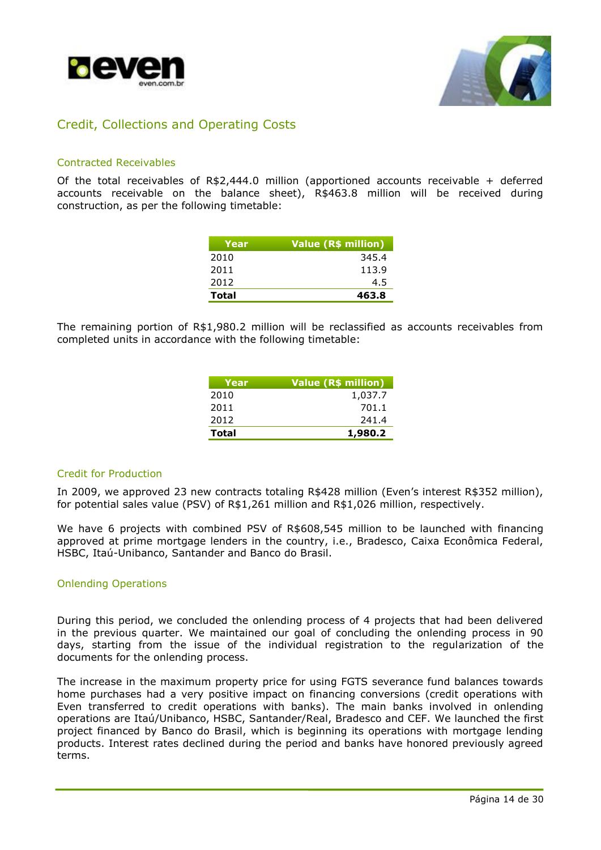![](_page_13_Picture_0.jpeg)

![](_page_13_Picture_1.jpeg)

## Credit, Collections and Operating Costs

### Contracted Receivables

Of the total receivables of R\$2,444.0 million (apportioned accounts receivable + deferred accounts receivable on the balance sheet), R\$463.8 million will be received during construction, as per the following timetable:

| Year  | Value (R\$ million) |
|-------|---------------------|
| 2010  | 345.4               |
| 2011  | 113.9               |
| 2012  | 4.5                 |
| Total | 463.8               |

The remaining portion of R\$1,980.2 million will be reclassified as accounts receivables from completed units in accordance with the following timetable:

| Year  | Value (R\$ million) |
|-------|---------------------|
| 2010  | 1,037.7             |
| 2011  | 701.1               |
| 2012  | 241.4               |
| Total | 1,980.2             |

### Credit for Production

In 2009, we approved 23 new contracts totaling R\$428 million (Even's interest R\$352 million), for potential sales value (PSV) of R\$1,261 million and R\$1,026 million, respectively.

We have 6 projects with combined PSV of R\$608,545 million to be launched with financing approved at prime mortgage lenders in the country, i.e., Bradesco, Caixa Econômica Federal, HSBC, Itaú-Unibanco, Santander and Banco do Brasil.

### Onlending Operations

During this period, we concluded the onlending process of 4 projects that had been delivered in the previous quarter. We maintained our goal of concluding the onlending process in 90 days, starting from the issue of the individual registration to the regularization of the documents for the onlending process.

The increase in the maximum property price for using FGTS severance fund balances towards home purchases had a very positive impact on financing conversions (credit operations with Even transferred to credit operations with banks). The main banks involved in onlending operations are Itaú/Unibanco, HSBC, Santander/Real, Bradesco and CEF. We launched the first project financed by Banco do Brasil, which is beginning its operations with mortgage lending products. Interest rates declined during the period and banks have honored previously agreed terms.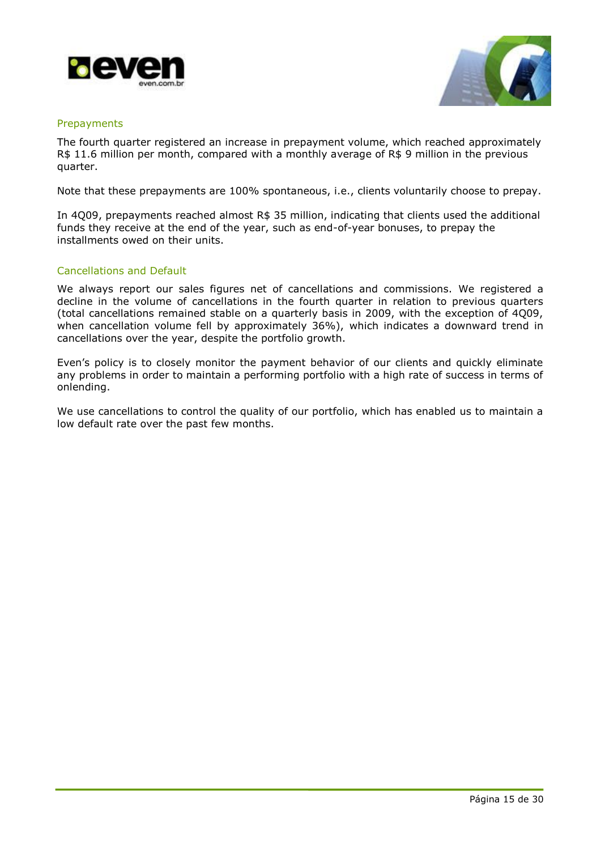![](_page_14_Picture_0.jpeg)

![](_page_14_Picture_1.jpeg)

### Prepayments

The fourth quarter registered an increase in prepayment volume, which reached approximately R\$ 11.6 million per month, compared with a monthly average of R\$ 9 million in the previous quarter.

Note that these prepayments are 100% spontaneous, i.e., clients voluntarily choose to prepay.

In 4Q09, prepayments reached almost R\$ 35 million, indicating that clients used the additional funds they receive at the end of the year, such as end-of-year bonuses, to prepay the installments owed on their units.

### Cancellations and Default

We always report our sales figures net of cancellations and commissions. We registered a decline in the volume of cancellations in the fourth quarter in relation to previous quarters (total cancellations remained stable on a quarterly basis in 2009, with the exception of 4Q09, when cancellation volume fell by approximately 36%), which indicates a downward trend in cancellations over the year, despite the portfolio growth.

Even's policy is to closely monitor the payment behavior of our clients and quickly eliminate any problems in order to maintain a performing portfolio with a high rate of success in terms of onlending.

We use cancellations to control the quality of our portfolio, which has enabled us to maintain a low default rate over the past few months.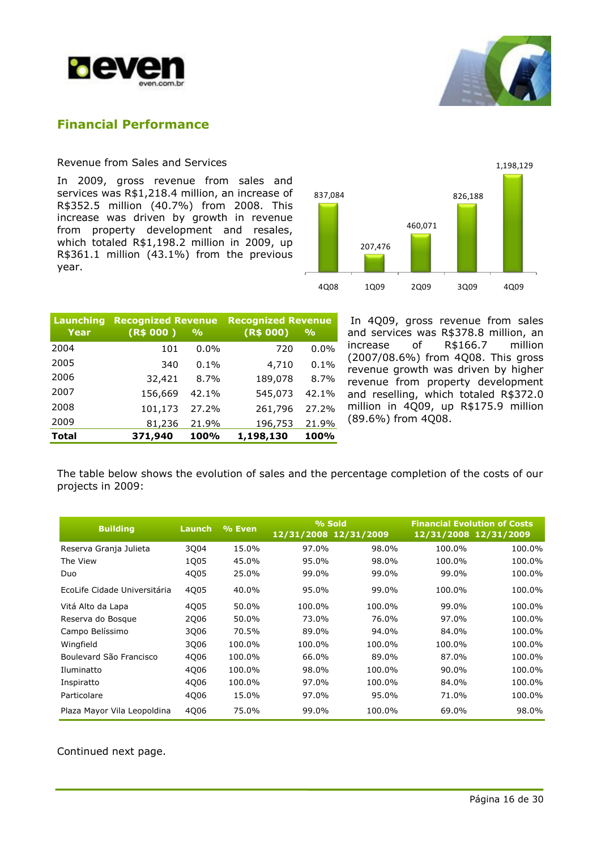![](_page_15_Picture_0.jpeg)

![](_page_15_Picture_1.jpeg)

## **Financial Performance**

## Revenue from Sales and Services

In 2009, gross revenue from sales and services was R\$1,218.4 million, an increase of R\$352.5 million (40.7%) from 2008. This increase was driven by growth in revenue from property development and resales, which totaled R\$1,198.2 million in 2009, up R\$361.1 million (43.1%) from the previous year.

![](_page_15_Figure_5.jpeg)

| Launching    |           | <b>Recognized Revenue</b> |           | <b>Recognized Revenue</b> |
|--------------|-----------|---------------------------|-----------|---------------------------|
| Year         | (R\$ 000) | $\frac{9}{6}$             | (R\$ 000) | $\frac{9}{6}$             |
| 2004         | 101       | $0.0\%$                   | 720       | $0.0\%$                   |
| 2005         | 340       | 0.1%                      | 4,710     | 0.1%                      |
| 2006         | 32,421    | $8.7\%$                   | 189,078   | 8.7%                      |
| 2007         | 156,669   | 42.1%                     | 545,073   | 42.1%                     |
| 2008         | 101,173   | 27.2%                     | 261,796   | 27.2%                     |
| 2009         | 81,236    | 21.9%                     | 196,753   | 21.9%                     |
| <b>Total</b> | 371,940   | 100%                      | 1,198,130 | 100%                      |

In 4Q09, gross revenue from sales and services was R\$378.8 million, an increase of R\$166.7 million (2007/08.6%) from 4Q08. This gross revenue growth was driven by higher revenue from property development and reselling, which totaled R\$372.0 million in 4Q09, up R\$175.9 million (89.6%) from 4Q08.

The table below shows the evolution of sales and the percentage completion of the costs of our projects in 2009:

| <b>Building</b>              | Launch      | % Even | % Sold<br>12/31/2008 12/31/2009 |        | <b>Financial Evolution of Costs</b><br>12/31/2008 12/31/2009 |        |
|------------------------------|-------------|--------|---------------------------------|--------|--------------------------------------------------------------|--------|
| Reserva Granja Julieta       | 3Q04        | 15.0%  | 97.0%                           | 98.0%  | 100.0%                                                       | 100.0% |
| The View                     | 1Q05        | 45.0%  | 95.0%                           | 98.0%  | 100.0%                                                       | 100.0% |
| Duo                          | 4Q05        | 25.0%  | 99.0%                           | 99.0%  | 99.0%                                                        | 100.0% |
| EcoLife Cidade Universitária | 4Q05        | 40.0%  | 95.0%                           | 99.0%  | 100.0%                                                       | 100.0% |
| Vitá Alto da Lapa            | 4005        | 50.0%  | 100.0%                          | 100.0% | 99.0%                                                        | 100.0% |
| Reserva do Bosque            | <b>2Q06</b> | 50.0%  | 73.0%                           | 76.0%  | 97.0%                                                        | 100.0% |
| Campo Belíssimo              | 3006        | 70.5%  | 89.0%                           | 94.0%  | 84.0%                                                        | 100.0% |
| Wingfield                    | 3006        | 100.0% | 100.0%                          | 100.0% | 100.0%                                                       | 100.0% |
| Boulevard São Francisco      | 4006        | 100.0% | 66.0%                           | 89.0%  | 87.0%                                                        | 100.0% |
| Iluminatto                   | 4006        | 100.0% | 98.0%                           | 100.0% | 90.0%                                                        | 100.0% |
| Inspiratto                   | 4006        | 100.0% | 97.0%                           | 100.0% | 84.0%                                                        | 100.0% |
| Particolare                  | 4006        | 15.0%  | 97.0%                           | 95.0%  | 71.0%                                                        | 100.0% |
| Plaza Mayor Vila Leopoldina  | 4006        | 75.0%  | 99.0%                           | 100.0% | 69.0%                                                        | 98.0%  |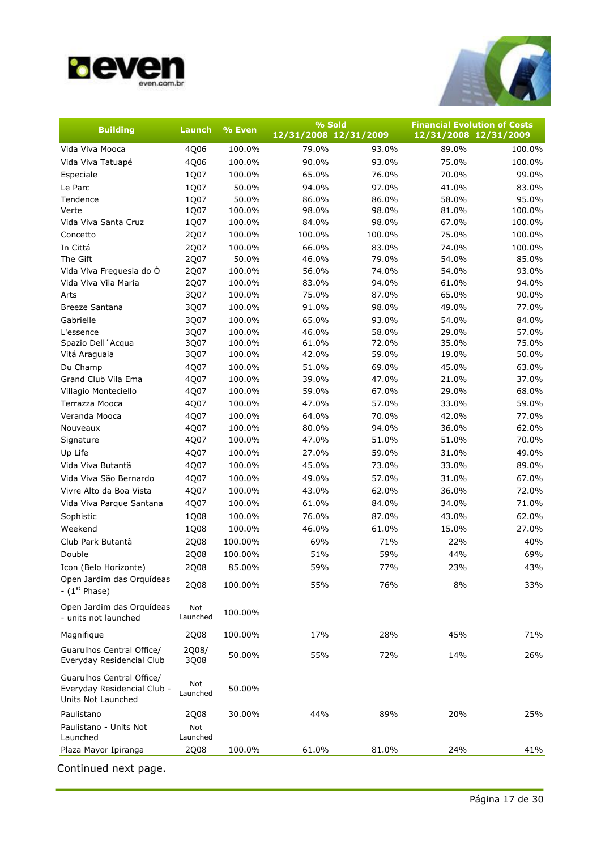![](_page_16_Picture_0.jpeg)

![](_page_16_Picture_1.jpeg)

| 12/31/2008 12/31/2009<br>12/31/2008 12/31/2009<br>79.0%<br>Vida Viva Mooca<br>4Q06<br>100.0%<br>93.0%<br>89.0%<br>4Q06<br>100.0%<br>90.0%<br>93.0%<br>75.0%<br>Vida Viva Tatuapé<br>1Q07<br>100.0%<br>65.0%<br>76.0%<br>70.0%<br>Especiale<br>Le Parc<br>1Q07<br>50.0%<br>94.0%<br>97.0%<br>41.0%<br>Tendence<br>1Q07<br>50.0%<br>86.0%<br>86.0%<br>58.0%<br>Verte<br>1Q07<br>100.0%<br>98.0%<br>98.0%<br>81.0%<br>1Q07<br>98.0%<br>67.0%<br>Vida Viva Santa Cruz<br>100.0%<br>84.0%<br>2Q07<br>100.0%<br>100.0%<br>100.0%<br>75.0%<br>Concetto<br>In Cittá<br>2Q07<br>66.0%<br>100.0%<br>83.0%<br>74.0%<br>The Gift<br>2Q07<br>50.0%<br>46.0%<br>79.0%<br>54.0%<br>Vida Viva Freguesia do Ó<br>2Q07<br>100.0%<br>56.0%<br>74.0%<br>54.0%<br>Vida Viva Vila Maria<br>2Q07<br>100.0%<br>83.0%<br>94.0%<br>61.0%<br>3Q07<br>100.0%<br>75.0%<br>87.0%<br>65.0%<br>Arts<br>3Q07<br>100.0%<br>91.0%<br>98.0%<br>49.0%<br><b>Breeze Santana</b><br>65.0%<br>Gabrielle<br>3Q07<br>100.0%<br>93.0%<br>54.0%<br>L'essence<br>3Q07<br>100.0%<br>46.0%<br>58.0%<br>29.0%<br>100.0%<br>61.0%<br>72.0%<br>35.0%<br>Spazio Dell'Acqua<br>3Q07<br>3Q07<br>100.0%<br>42.0%<br>59.0%<br>19.0%<br>50.0%<br>Vitá Araguaia<br>Du Champ<br>4Q07<br>100.0%<br>51.0%<br>69.0%<br>45.0%<br>Grand Club Vila Ema<br>4Q07<br>100.0%<br>39.0%<br>47.0%<br>21.0%<br>4Q07<br>100.0%<br>59.0%<br>67.0%<br>29.0%<br>Villagio Monteciello<br>4Q07<br>100.0%<br>47.0%<br>57.0%<br>33.0%<br>Terrazza Mooca<br>Veranda Mooca<br>4Q07<br>100.0%<br>64.0%<br>70.0%<br>42.0%<br>4Q07<br>100.0%<br>80.0%<br>94.0%<br>36.0%<br>Nouveaux<br>4Q07<br>100.0%<br>47.0%<br>51.0%<br>51.0%<br>Signature | <b>Building</b> | Launch | % Even | % Sold |  | <b>Financial Evolution of Costs</b> |
|----------------------------------------------------------------------------------------------------------------------------------------------------------------------------------------------------------------------------------------------------------------------------------------------------------------------------------------------------------------------------------------------------------------------------------------------------------------------------------------------------------------------------------------------------------------------------------------------------------------------------------------------------------------------------------------------------------------------------------------------------------------------------------------------------------------------------------------------------------------------------------------------------------------------------------------------------------------------------------------------------------------------------------------------------------------------------------------------------------------------------------------------------------------------------------------------------------------------------------------------------------------------------------------------------------------------------------------------------------------------------------------------------------------------------------------------------------------------------------------------------------------------------------------------------------------------------------------------------------------------------------------------------------|-----------------|--------|--------|--------|--|-------------------------------------|
|                                                                                                                                                                                                                                                                                                                                                                                                                                                                                                                                                                                                                                                                                                                                                                                                                                                                                                                                                                                                                                                                                                                                                                                                                                                                                                                                                                                                                                                                                                                                                                                                                                                          |                 |        |        |        |  |                                     |
|                                                                                                                                                                                                                                                                                                                                                                                                                                                                                                                                                                                                                                                                                                                                                                                                                                                                                                                                                                                                                                                                                                                                                                                                                                                                                                                                                                                                                                                                                                                                                                                                                                                          |                 |        |        |        |  | 100.0%                              |
|                                                                                                                                                                                                                                                                                                                                                                                                                                                                                                                                                                                                                                                                                                                                                                                                                                                                                                                                                                                                                                                                                                                                                                                                                                                                                                                                                                                                                                                                                                                                                                                                                                                          |                 |        |        |        |  | 100.0%                              |
|                                                                                                                                                                                                                                                                                                                                                                                                                                                                                                                                                                                                                                                                                                                                                                                                                                                                                                                                                                                                                                                                                                                                                                                                                                                                                                                                                                                                                                                                                                                                                                                                                                                          |                 |        |        |        |  | 99.0%                               |
|                                                                                                                                                                                                                                                                                                                                                                                                                                                                                                                                                                                                                                                                                                                                                                                                                                                                                                                                                                                                                                                                                                                                                                                                                                                                                                                                                                                                                                                                                                                                                                                                                                                          |                 |        |        |        |  | 83.0%                               |
|                                                                                                                                                                                                                                                                                                                                                                                                                                                                                                                                                                                                                                                                                                                                                                                                                                                                                                                                                                                                                                                                                                                                                                                                                                                                                                                                                                                                                                                                                                                                                                                                                                                          |                 |        |        |        |  | 95.0%                               |
|                                                                                                                                                                                                                                                                                                                                                                                                                                                                                                                                                                                                                                                                                                                                                                                                                                                                                                                                                                                                                                                                                                                                                                                                                                                                                                                                                                                                                                                                                                                                                                                                                                                          |                 |        |        |        |  | 100.0%                              |
|                                                                                                                                                                                                                                                                                                                                                                                                                                                                                                                                                                                                                                                                                                                                                                                                                                                                                                                                                                                                                                                                                                                                                                                                                                                                                                                                                                                                                                                                                                                                                                                                                                                          |                 |        |        |        |  | 100.0%                              |
|                                                                                                                                                                                                                                                                                                                                                                                                                                                                                                                                                                                                                                                                                                                                                                                                                                                                                                                                                                                                                                                                                                                                                                                                                                                                                                                                                                                                                                                                                                                                                                                                                                                          |                 |        |        |        |  | 100.0%                              |
|                                                                                                                                                                                                                                                                                                                                                                                                                                                                                                                                                                                                                                                                                                                                                                                                                                                                                                                                                                                                                                                                                                                                                                                                                                                                                                                                                                                                                                                                                                                                                                                                                                                          |                 |        |        |        |  | 100.0%                              |
|                                                                                                                                                                                                                                                                                                                                                                                                                                                                                                                                                                                                                                                                                                                                                                                                                                                                                                                                                                                                                                                                                                                                                                                                                                                                                                                                                                                                                                                                                                                                                                                                                                                          |                 |        |        |        |  | 85.0%                               |
|                                                                                                                                                                                                                                                                                                                                                                                                                                                                                                                                                                                                                                                                                                                                                                                                                                                                                                                                                                                                                                                                                                                                                                                                                                                                                                                                                                                                                                                                                                                                                                                                                                                          |                 |        |        |        |  | 93.0%                               |
|                                                                                                                                                                                                                                                                                                                                                                                                                                                                                                                                                                                                                                                                                                                                                                                                                                                                                                                                                                                                                                                                                                                                                                                                                                                                                                                                                                                                                                                                                                                                                                                                                                                          |                 |        |        |        |  | 94.0%                               |
|                                                                                                                                                                                                                                                                                                                                                                                                                                                                                                                                                                                                                                                                                                                                                                                                                                                                                                                                                                                                                                                                                                                                                                                                                                                                                                                                                                                                                                                                                                                                                                                                                                                          |                 |        |        |        |  | 90.0%                               |
|                                                                                                                                                                                                                                                                                                                                                                                                                                                                                                                                                                                                                                                                                                                                                                                                                                                                                                                                                                                                                                                                                                                                                                                                                                                                                                                                                                                                                                                                                                                                                                                                                                                          |                 |        |        |        |  | 77.0%                               |
|                                                                                                                                                                                                                                                                                                                                                                                                                                                                                                                                                                                                                                                                                                                                                                                                                                                                                                                                                                                                                                                                                                                                                                                                                                                                                                                                                                                                                                                                                                                                                                                                                                                          |                 |        |        |        |  | 84.0%                               |
|                                                                                                                                                                                                                                                                                                                                                                                                                                                                                                                                                                                                                                                                                                                                                                                                                                                                                                                                                                                                                                                                                                                                                                                                                                                                                                                                                                                                                                                                                                                                                                                                                                                          |                 |        |        |        |  | 57.0%                               |
|                                                                                                                                                                                                                                                                                                                                                                                                                                                                                                                                                                                                                                                                                                                                                                                                                                                                                                                                                                                                                                                                                                                                                                                                                                                                                                                                                                                                                                                                                                                                                                                                                                                          |                 |        |        |        |  | 75.0%                               |
|                                                                                                                                                                                                                                                                                                                                                                                                                                                                                                                                                                                                                                                                                                                                                                                                                                                                                                                                                                                                                                                                                                                                                                                                                                                                                                                                                                                                                                                                                                                                                                                                                                                          |                 |        |        |        |  |                                     |
|                                                                                                                                                                                                                                                                                                                                                                                                                                                                                                                                                                                                                                                                                                                                                                                                                                                                                                                                                                                                                                                                                                                                                                                                                                                                                                                                                                                                                                                                                                                                                                                                                                                          |                 |        |        |        |  | 63.0%                               |
|                                                                                                                                                                                                                                                                                                                                                                                                                                                                                                                                                                                                                                                                                                                                                                                                                                                                                                                                                                                                                                                                                                                                                                                                                                                                                                                                                                                                                                                                                                                                                                                                                                                          |                 |        |        |        |  | 37.0%                               |
|                                                                                                                                                                                                                                                                                                                                                                                                                                                                                                                                                                                                                                                                                                                                                                                                                                                                                                                                                                                                                                                                                                                                                                                                                                                                                                                                                                                                                                                                                                                                                                                                                                                          |                 |        |        |        |  | 68.0%                               |
|                                                                                                                                                                                                                                                                                                                                                                                                                                                                                                                                                                                                                                                                                                                                                                                                                                                                                                                                                                                                                                                                                                                                                                                                                                                                                                                                                                                                                                                                                                                                                                                                                                                          |                 |        |        |        |  | 59.0%                               |
|                                                                                                                                                                                                                                                                                                                                                                                                                                                                                                                                                                                                                                                                                                                                                                                                                                                                                                                                                                                                                                                                                                                                                                                                                                                                                                                                                                                                                                                                                                                                                                                                                                                          |                 |        |        |        |  | 77.0%                               |
|                                                                                                                                                                                                                                                                                                                                                                                                                                                                                                                                                                                                                                                                                                                                                                                                                                                                                                                                                                                                                                                                                                                                                                                                                                                                                                                                                                                                                                                                                                                                                                                                                                                          |                 |        |        |        |  | 62.0%                               |
|                                                                                                                                                                                                                                                                                                                                                                                                                                                                                                                                                                                                                                                                                                                                                                                                                                                                                                                                                                                                                                                                                                                                                                                                                                                                                                                                                                                                                                                                                                                                                                                                                                                          |                 |        |        |        |  | 70.0%                               |
| Up Life<br>4Q07<br>100.0%<br>27.0%<br>59.0%<br>31.0%                                                                                                                                                                                                                                                                                                                                                                                                                                                                                                                                                                                                                                                                                                                                                                                                                                                                                                                                                                                                                                                                                                                                                                                                                                                                                                                                                                                                                                                                                                                                                                                                     |                 |        |        |        |  | 49.0%                               |
| 4Q07<br>100.0%<br>45.0%<br>73.0%<br>33.0%<br>Vida Viva Butantã                                                                                                                                                                                                                                                                                                                                                                                                                                                                                                                                                                                                                                                                                                                                                                                                                                                                                                                                                                                                                                                                                                                                                                                                                                                                                                                                                                                                                                                                                                                                                                                           |                 |        |        |        |  | 89.0%                               |
| Vida Viva São Bernardo<br>4Q07<br>100.0%<br>49.0%<br>57.0%<br>31.0%                                                                                                                                                                                                                                                                                                                                                                                                                                                                                                                                                                                                                                                                                                                                                                                                                                                                                                                                                                                                                                                                                                                                                                                                                                                                                                                                                                                                                                                                                                                                                                                      |                 |        |        |        |  | 67.0%                               |
| Vivre Alto da Boa Vista<br>4Q07<br>100.0%<br>43.0%<br>62.0%<br>36.0%                                                                                                                                                                                                                                                                                                                                                                                                                                                                                                                                                                                                                                                                                                                                                                                                                                                                                                                                                                                                                                                                                                                                                                                                                                                                                                                                                                                                                                                                                                                                                                                     |                 |        |        |        |  | 72.0%                               |
| 4Q07<br>100.0%<br>61.0%<br>84.0%<br>34.0%<br>Vida Viva Parque Santana                                                                                                                                                                                                                                                                                                                                                                                                                                                                                                                                                                                                                                                                                                                                                                                                                                                                                                                                                                                                                                                                                                                                                                                                                                                                                                                                                                                                                                                                                                                                                                                    |                 |        |        |        |  | 71.0%                               |
| 1Q08<br>100.0%<br>76.0%<br>87.0%<br>43.0%<br>Sophistic                                                                                                                                                                                                                                                                                                                                                                                                                                                                                                                                                                                                                                                                                                                                                                                                                                                                                                                                                                                                                                                                                                                                                                                                                                                                                                                                                                                                                                                                                                                                                                                                   |                 |        |        |        |  | 62.0%                               |
| Weekend<br>1Q08<br>100.0%<br>46.0%<br>61.0%<br>15.0%                                                                                                                                                                                                                                                                                                                                                                                                                                                                                                                                                                                                                                                                                                                                                                                                                                                                                                                                                                                                                                                                                                                                                                                                                                                                                                                                                                                                                                                                                                                                                                                                     |                 |        |        |        |  | 27.0%                               |
| 100.00%<br>69%<br>71%<br>22%<br>Club Park Butantã<br>2Q08                                                                                                                                                                                                                                                                                                                                                                                                                                                                                                                                                                                                                                                                                                                                                                                                                                                                                                                                                                                                                                                                                                                                                                                                                                                                                                                                                                                                                                                                                                                                                                                                |                 |        |        |        |  | 40%                                 |
| Double<br>59%<br>2Q08<br>100.00%<br>51%<br>44%                                                                                                                                                                                                                                                                                                                                                                                                                                                                                                                                                                                                                                                                                                                                                                                                                                                                                                                                                                                                                                                                                                                                                                                                                                                                                                                                                                                                                                                                                                                                                                                                           |                 |        |        |        |  | 69%                                 |
| 59%<br>77%<br>2Q08<br>85.00%<br>23%<br>Icon (Belo Horizonte)                                                                                                                                                                                                                                                                                                                                                                                                                                                                                                                                                                                                                                                                                                                                                                                                                                                                                                                                                                                                                                                                                                                                                                                                                                                                                                                                                                                                                                                                                                                                                                                             |                 |        |        |        |  | 43%                                 |
| Open Jardim das Orquídeas<br>55%<br>76%<br>8%<br>2Q08<br>100.00%<br>- $(1st Phase)$                                                                                                                                                                                                                                                                                                                                                                                                                                                                                                                                                                                                                                                                                                                                                                                                                                                                                                                                                                                                                                                                                                                                                                                                                                                                                                                                                                                                                                                                                                                                                                      |                 |        |        |        |  | 33%                                 |
| Open Jardim das Orquídeas<br>Not<br>100.00%<br>- units not launched<br>Launched                                                                                                                                                                                                                                                                                                                                                                                                                                                                                                                                                                                                                                                                                                                                                                                                                                                                                                                                                                                                                                                                                                                                                                                                                                                                                                                                                                                                                                                                                                                                                                          |                 |        |        |        |  |                                     |
| 17%<br>Magnifique<br>2Q08<br>100.00%<br>28%<br>45%                                                                                                                                                                                                                                                                                                                                                                                                                                                                                                                                                                                                                                                                                                                                                                                                                                                                                                                                                                                                                                                                                                                                                                                                                                                                                                                                                                                                                                                                                                                                                                                                       |                 |        |        |        |  | 71%                                 |
| Guarulhos Central Office/<br>2Q08/<br>55%<br>50.00%<br>72%<br>14%<br>Everyday Residencial Club<br>3Q08                                                                                                                                                                                                                                                                                                                                                                                                                                                                                                                                                                                                                                                                                                                                                                                                                                                                                                                                                                                                                                                                                                                                                                                                                                                                                                                                                                                                                                                                                                                                                   |                 |        |        |        |  | 26%                                 |
| Guarulhos Central Office/<br>Not<br>Everyday Residencial Club -<br>50.00%<br>Launched<br>Units Not Launched                                                                                                                                                                                                                                                                                                                                                                                                                                                                                                                                                                                                                                                                                                                                                                                                                                                                                                                                                                                                                                                                                                                                                                                                                                                                                                                                                                                                                                                                                                                                              |                 |        |        |        |  |                                     |
| 89%<br>20%<br>Paulistano<br>30.00%<br>44%<br>2Q08                                                                                                                                                                                                                                                                                                                                                                                                                                                                                                                                                                                                                                                                                                                                                                                                                                                                                                                                                                                                                                                                                                                                                                                                                                                                                                                                                                                                                                                                                                                                                                                                        |                 |        |        |        |  | 25%                                 |
| Paulistano - Units Not<br>Not<br>Launched<br>Launched                                                                                                                                                                                                                                                                                                                                                                                                                                                                                                                                                                                                                                                                                                                                                                                                                                                                                                                                                                                                                                                                                                                                                                                                                                                                                                                                                                                                                                                                                                                                                                                                    |                 |        |        |        |  |                                     |
| Plaza Mayor Ipiranga<br>2Q08<br>81.0%<br>24%<br>100.0%<br>61.0%                                                                                                                                                                                                                                                                                                                                                                                                                                                                                                                                                                                                                                                                                                                                                                                                                                                                                                                                                                                                                                                                                                                                                                                                                                                                                                                                                                                                                                                                                                                                                                                          |                 |        |        |        |  | 41%                                 |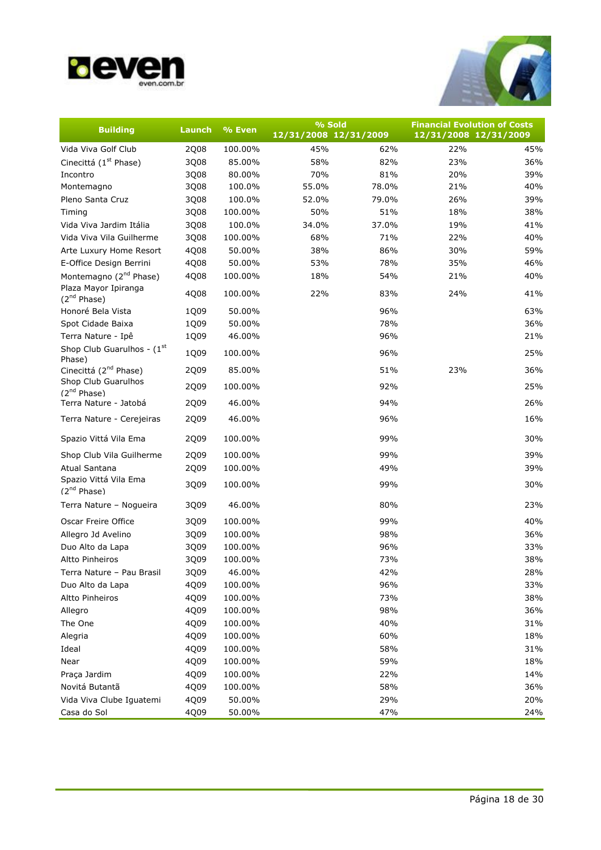![](_page_17_Picture_0.jpeg)

![](_page_17_Picture_1.jpeg)

| <b>Building</b>                                  | Launch | % Even  | % Sold                |       | <b>Financial Evolution of Costs</b> |     |
|--------------------------------------------------|--------|---------|-----------------------|-------|-------------------------------------|-----|
|                                                  |        |         | 12/31/2008 12/31/2009 |       | 12/31/2008 12/31/2009               |     |
| Vida Viva Golf Club                              | 2Q08   | 100.00% | 45%                   | 62%   | 22%                                 | 45% |
| Cinecittá (1 <sup>st</sup> Phase)                | 3Q08   | 85.00%  | 58%                   | 82%   | 23%                                 | 36% |
| Incontro                                         | 3Q08   | 80.00%  | 70%                   | 81%   | 20%                                 | 39% |
| Montemagno                                       | 3Q08   | 100.0%  | 55.0%                 | 78.0% | 21%                                 | 40% |
| Pleno Santa Cruz                                 | 3Q08   | 100.0%  | 52.0%                 | 79.0% | 26%                                 | 39% |
| Timing                                           | 3Q08   | 100.00% | 50%                   | 51%   | 18%                                 | 38% |
| Vida Viva Jardim Itália                          | 3Q08   | 100.0%  | 34.0%                 | 37.0% | 19%                                 | 41% |
| Vida Viva Vila Guilherme                         | 3Q08   | 100.00% | 68%                   | 71%   | 22%                                 | 40% |
| Arte Luxury Home Resort                          | 4Q08   | 50.00%  | 38%                   | 86%   | 30%                                 | 59% |
| E-Office Design Berrini                          | 4Q08   | 50.00%  | 53%                   | 78%   | 35%                                 | 46% |
| Montemagno (2 <sup>nd</sup> Phase)               | 4Q08   | 100.00% | 18%                   | 54%   | 21%                                 | 40% |
| Plaza Mayor Ipiranga<br>$(2^{nd}$ Phase)         | 4Q08   | 100.00% | 22%                   | 83%   | 24%                                 | 41% |
| Honoré Bela Vista                                | 1Q09   | 50.00%  |                       | 96%   |                                     | 63% |
| Spot Cidade Baixa                                | 1Q09   | 50.00%  |                       | 78%   |                                     | 36% |
| Terra Nature - Ipê                               | 1Q09   | 46.00%  |                       | 96%   |                                     | 21% |
| Shop Club Guarulhos - $(1st$<br>Phase)           | 1Q09   | 100.00% |                       | 96%   |                                     | 25% |
| Cinecittá (2 <sup>nd</sup> Phase)                | 2Q09   | 85.00%  |                       | 51%   | 23%                                 | 36% |
| Shop Club Guarulhos<br>(2 <sup>nd</sup> Phase)   | 2Q09   | 100.00% |                       | 92%   |                                     | 25% |
| Terra Nature - Jatobá                            | 2Q09   | 46.00%  |                       | 94%   |                                     | 26% |
| Terra Nature - Cerejeiras                        | 2Q09   | 46.00%  |                       | 96%   |                                     | 16% |
| Spazio Vittá Vila Ema                            | 2Q09   | 100.00% |                       | 99%   |                                     | 30% |
| Shop Club Vila Guilherme                         | 2Q09   | 100.00% |                       | 99%   |                                     | 39% |
| Atual Santana                                    | 2Q09   | 100.00% |                       | 49%   |                                     | 39% |
| Spazio Vittá Vila Ema<br>(2 <sup>nd</sup> Phase) | 3Q09   | 100.00% |                       | 99%   |                                     | 30% |
| Terra Nature - Nogueira                          | 3Q09   | 46.00%  |                       | 80%   |                                     | 23% |
| Oscar Freire Office                              | 3Q09   | 100.00% |                       | 99%   |                                     | 40% |
| Allegro Jd Avelino                               | 3Q09   | 100.00% |                       | 98%   |                                     | 36% |
| Duo Alto da Lapa                                 | 3Q09   | 100.00% |                       | 96%   |                                     | 33% |
| Altto Pinheiros                                  | 3Q09   | 100.00% |                       | 73%   |                                     | 38% |
| Terra Nature - Pau Brasil                        | 3Q09   | 46.00%  |                       | 42%   |                                     | 28% |
| Duo Alto da Lapa                                 | 4Q09   | 100.00% |                       | 96%   |                                     | 33% |
| Altto Pinheiros                                  | 4Q09   | 100.00% |                       | 73%   |                                     | 38% |
| Allegro                                          | 4Q09   | 100.00% |                       | 98%   |                                     | 36% |
| The One                                          | 4Q09   | 100.00% |                       | 40%   |                                     | 31% |
| Alegria                                          | 4Q09   | 100.00% |                       | 60%   |                                     | 18% |
| Ideal                                            | 4Q09   | 100.00% |                       | 58%   |                                     | 31% |
| Near                                             | 4Q09   | 100.00% |                       | 59%   |                                     | 18% |
| Praça Jardim                                     | 4Q09   | 100.00% |                       | 22%   |                                     | 14% |
| Novitá Butantã                                   | 4Q09   | 100.00% |                       | 58%   |                                     | 36% |
| Vida Viva Clube Iguatemi                         | 4Q09   | 50.00%  |                       | 29%   |                                     | 20% |
| Casa do Sol                                      | 4Q09   | 50.00%  |                       | 47%   |                                     | 24% |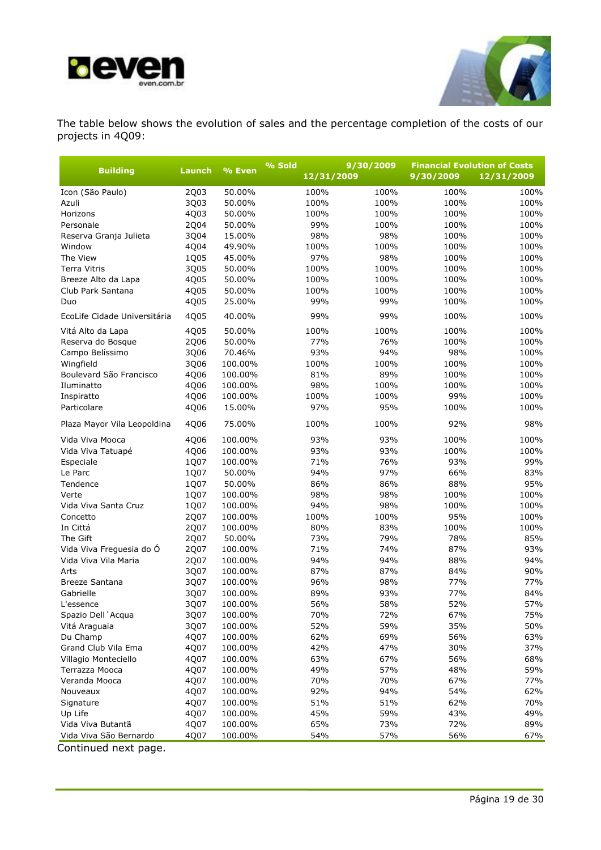![](_page_18_Picture_0.jpeg)

![](_page_18_Picture_1.jpeg)

The table below shows the evolution of sales and the percentage completion of the costs of our projects in 4Q09:

|                              |                  |         | % Sold | 9/30/2009  |      | <b>Financial Evolution of Costs</b> |            |  |
|------------------------------|------------------|---------|--------|------------|------|-------------------------------------|------------|--|
| <b>Building</b>              | % Even<br>Launch |         |        | 12/31/2009 |      | 9/30/2009                           | 12/31/2009 |  |
| Icon (São Paulo)             | 2Q03             | 50.00%  |        | 100%       | 100% | 100%                                | 100%       |  |
| Azuli                        | 3Q03             | 50.00%  |        | 100%       | 100% | 100%                                | 100%       |  |
| Horizons                     | 4Q03             | 50.00%  |        | 100%       | 100% | 100%                                | 100%       |  |
| Personale                    | 2Q04             | 50.00%  |        | 99%        | 100% | 100%                                | 100%       |  |
| Reserva Granja Julieta       | 3Q04             | 15.00%  |        | 98%        | 98%  | 100%                                | 100%       |  |
| Window                       | 4Q04             | 49.90%  |        | 100%       | 100% | 100%                                | 100%       |  |
| The View                     | 1Q05             | 45.00%  |        | 97%        | 98%  | 100%                                | 100%       |  |
| <b>Terra Vitris</b>          | 3Q05             | 50.00%  |        | 100%       | 100% | 100%                                | 100%       |  |
| Breeze Alto da Lapa          | 4Q05             | 50.00%  |        | 100%       | 100% | 100%                                | 100%       |  |
| Club Park Santana            | 4Q05             | 50.00%  |        | 100%       | 100% | 100%                                | 100%       |  |
| Duo                          | 4Q05             | 25.00%  |        | 99%        | 99%  | 100%                                | 100%       |  |
| EcoLife Cidade Universitária | 4Q05             | 40.00%  |        | 99%        | 99%  | 100%                                | 100%       |  |
| Vitá Alto da Lapa            | 4Q05             | 50.00%  |        | 100%       | 100% | 100%                                | 100%       |  |
| Reserva do Bosque            | 2Q06             | 50.00%  |        | 77%        | 76%  | 100%                                | 100%       |  |
| Campo Belíssimo              | 3Q06             | 70.46%  |        | 93%        | 94%  | 98%                                 | 100%       |  |
| Wingfield                    | 3Q06             | 100.00% |        | 100%       | 100% | 100%                                | 100%       |  |
| Boulevard São Francisco      | 4Q06             | 100.00% |        | 81%        | 89%  | 100%                                | 100%       |  |
| Iluminatto                   | 4Q06             | 100.00% |        | 98%        | 100% | 100%                                | 100%       |  |
| Inspiratto                   | 4Q06             | 100.00% |        | 100%       | 100% | 99%                                 | 100%       |  |
| Particolare                  | 4Q06             | 15.00%  |        | 97%        | 95%  | 100%                                | 100%       |  |
| Plaza Mayor Vila Leopoldina  | 4Q06             | 75.00%  |        | 100%       | 100% | 92%                                 | 98%        |  |
| Vida Viva Mooca              | 4Q06             | 100.00% |        | 93%        | 93%  | 100%                                | 100%       |  |
| Vida Viva Tatuapé            | 4Q06             | 100.00% |        | 93%        | 93%  | 100%                                | 100%       |  |
| Especiale                    | 1Q07             | 100.00% |        | 71%        | 76%  | 93%                                 | 99%        |  |
| Le Parc                      | 1Q07             | 50.00%  |        | 94%        | 97%  | 66%                                 | 83%        |  |
| Tendence                     | 1Q07             | 50.00%  |        | 86%        | 86%  | 88%                                 | 95%        |  |
| Verte                        | 1Q07             | 100.00% |        | 98%        | 98%  | 100%                                | 100%       |  |
| Vida Viva Santa Cruz         | 1Q07             | 100.00% |        | 94%        | 98%  | 100%                                | 100%       |  |
| Concetto                     | 2Q07             | 100.00% |        | 100%       | 100% | 95%                                 | 100%       |  |
| In Cittá                     | 2Q07             | 100.00% |        | 80%        | 83%  | 100%                                | 100%       |  |
| The Gift                     | 2Q07             | 50.00%  |        | 73%        | 79%  | 78%                                 | 85%        |  |
| Vida Viva Freguesia do Ó     | 2Q07             | 100.00% |        | 71%        | 74%  | 87%                                 | 93%        |  |
| Vida Viva Vila Maria         | 2Q07             | 100.00% |        | 94%        | 94%  | 88%                                 | 94%        |  |
| Arts                         | 3Q07             | 100.00% |        | 87%        | 87%  | 84%                                 | 90%        |  |
| <b>Breeze Santana</b>        | 3Q07             | 100.00% |        | 96%        | 98%  | 77%                                 | 77%        |  |
| Gabrielle                    | 3Q07             | 100.00% |        | 89%        | 93%  | 77%                                 | 84%        |  |
| L'essence                    | 3Q07             | 100.00% |        | 56%        | 58%  | 52%                                 | 57%        |  |
| Spazio Dell'Acqua            | 3Q07             | 100.00% |        | 70%        | 72%  | 67%                                 | 75%        |  |
| Vitá Araguaia                | 3Q07             | 100.00% |        | 52%        | 59%  | 35%                                 | 50%        |  |
| Du Champ                     | 4Q07             | 100.00% |        | 62%        | 69%  | 56%                                 | 63%        |  |
| Grand Club Vila Ema          | 4Q07             | 100.00% |        | 42%        | 47%  | 30%                                 | 37%        |  |
| Villagio Monteciello         | 4Q07             | 100.00% |        | 63%        | 67%  | 56%                                 | 68%        |  |
| Terrazza Mooca               | 4Q07             | 100.00% |        | 49%        | 57%  | 48%                                 | 59%        |  |
| Veranda Mooca                | 4Q07             | 100.00% |        | 70%        | 70%  | 67%                                 | 77%        |  |
| Nouveaux                     | 4Q07             | 100.00% |        | 92%        | 94%  | 54%                                 | 62%        |  |
| Signature                    | 4Q07             | 100.00% |        | 51%        | 51%  | 62%                                 | 70%        |  |
| Up Life                      | 4Q07             | 100.00% |        | 45%        | 59%  | 43%                                 | 49%        |  |
| Vida Viva Butantã            | 4Q07             | 100.00% |        | 65%        | 73%  | 72%                                 | 89%        |  |
| Vida Viva São Bernardo       | 4Q07             | 100.00% |        | 54%        | 57%  | 56%                                 | 67%        |  |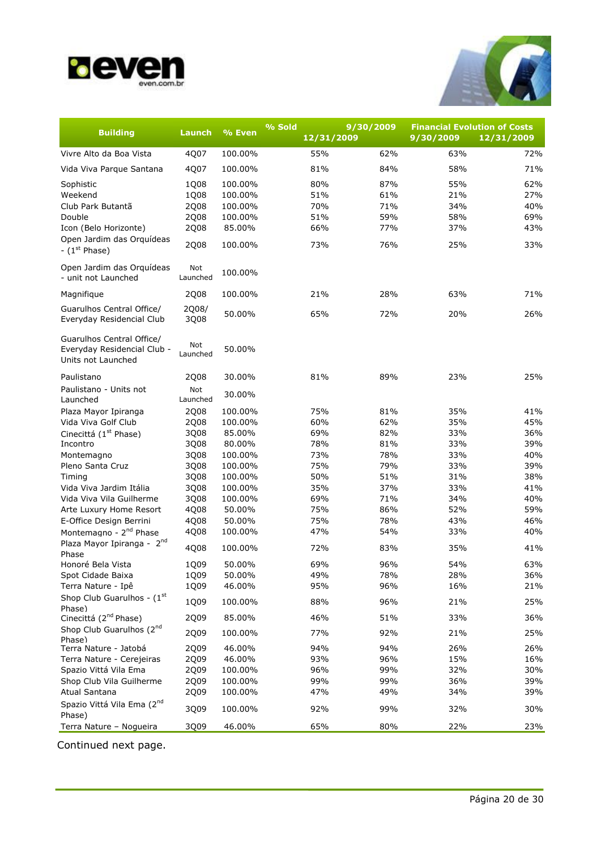![](_page_19_Picture_0.jpeg)

![](_page_19_Picture_1.jpeg)

| <b>Building</b>                                                                | Launch          | % Even  | % Sold | 9/30/2009<br>12/31/2009 | <b>Financial Evolution of Costs</b><br>9/30/2009 | 12/31/2009 |
|--------------------------------------------------------------------------------|-----------------|---------|--------|-------------------------|--------------------------------------------------|------------|
| Vivre Alto da Boa Vista                                                        | 4Q07            | 100.00% | 55%    | 62%                     | 63%                                              | 72%        |
|                                                                                |                 |         |        |                         |                                                  |            |
| Vida Viva Parque Santana                                                       | 4Q07            | 100.00% | 81%    | 84%                     | 58%                                              | 71%        |
| Sophistic                                                                      | 1Q08            | 100.00% | 80%    | 87%                     | 55%                                              | 62%        |
| Weekend                                                                        | 1Q08            | 100.00% | 51%    | 61%                     | 21%                                              | 27%        |
| Club Park Butantã                                                              | 2Q08            | 100.00% | 70%    | 71%                     | 34%                                              | 40%        |
| Double                                                                         | 2Q08            | 100.00% | 51%    | 59%                     | 58%                                              | 69%        |
| Icon (Belo Horizonte)                                                          | 2Q08            | 85.00%  | 66%    | 77%                     | 37%                                              | 43%        |
| Open Jardim das Orquídeas<br>- $(1st Phase)$                                   | 2Q08            | 100.00% | 73%    | 76%                     | 25%                                              | 33%        |
| Open Jardim das Orquídeas<br>- unit not Launched                               | Not<br>Launched | 100.00% |        |                         |                                                  |            |
|                                                                                |                 |         | 21%    | 28%                     |                                                  | 71%        |
| Magnifique                                                                     | 2Q08            | 100.00% |        |                         | 63%                                              |            |
| Guarulhos Central Office/<br>Everyday Residencial Club                         | 2Q08/<br>3Q08   | 50.00%  | 65%    | 72%                     | 20%                                              | 26%        |
| Guarulhos Central Office/<br>Everyday Residencial Club -<br>Units not Launched | Not<br>Launched | 50.00%  |        |                         |                                                  |            |
| Paulistano                                                                     | 2Q08            | 30.00%  | 81%    | 89%                     | 23%                                              | 25%        |
| Paulistano - Units not<br>Launched                                             | Not<br>Launched | 30.00%  |        |                         |                                                  |            |
| Plaza Mayor Ipiranga                                                           | 2Q08            | 100.00% | 75%    | 81%                     | 35%                                              | 41%        |
| Vida Viva Golf Club                                                            | 2Q08            | 100.00% | 60%    | 62%                     | 35%                                              | 45%        |
| Cinecittá (1 <sup>st</sup> Phase)                                              | 3Q08            | 85.00%  | 69%    | 82%                     | 33%                                              | 36%        |
| Incontro                                                                       | 3Q08            | 80.00%  | 78%    | 81%                     | 33%                                              | 39%        |
| Montemagno                                                                     | 3Q08            | 100.00% | 73%    | 78%                     | 33%                                              | 40%        |
| Pleno Santa Cruz                                                               | 3Q08            | 100.00% | 75%    | 79%                     | 33%                                              | 39%        |
| Timing                                                                         | 3Q08            | 100.00% | 50%    | 51%                     | 31%                                              | 38%        |
| Vida Viva Jardim Itália                                                        | 3Q08            | 100.00% | 35%    | 37%                     | 33%                                              | 41%        |
| Vida Viva Vila Guilherme                                                       | 3Q08            | 100.00% | 69%    | 71%                     | 34%                                              | 40%        |
| Arte Luxury Home Resort                                                        | 4Q08            | 50.00%  | 75%    | 86%                     | 52%                                              | 59%        |
| E-Office Design Berrini                                                        | 4Q08            | 50.00%  | 75%    | 78%                     | 43%                                              | 46%        |
| Montemagno - 2 <sup>nd</sup> Phase                                             | 4Q08            | 100.00% | 47%    | 54%                     | 33%                                              | 40%        |
| Plaza Mayor Ipiranga - 2nd<br>Phase                                            | 4Q08            | 100.00% | 72%    | 83%                     | 35%                                              | 41%        |
| Honoré Bela Vista                                                              | 1Q09            | 50.00%  | 69%    | 96%                     | 54%                                              | 63%        |
| Spot Cidade Baixa                                                              | 1Q09            | 50.00%  | 49%    | 78%                     | 28%                                              | 36%        |
| Terra Nature - Ipê                                                             | 1Q09            | 46.00%  | 95%    | 96%                     | 16%                                              | 21%        |
| Shop Club Guarulhos - $(1st$<br>Phase)                                         | 1Q09            | 100.00% | 88%    | 96%                     | 21%                                              | 25%        |
| Cinecittá (2 <sup>nd</sup> Phase)                                              | 2Q09            | 85.00%  | 46%    | 51%                     | 33%                                              | 36%        |
| Shop Club Guarulhos (2nd<br>Phase)                                             | 2Q09            | 100.00% | 77%    | 92%                     | 21%                                              | 25%        |
| Terra Nature - Jatobá                                                          | 2Q09            | 46.00%  | 94%    | 94%                     | 26%                                              | 26%        |
| Terra Nature - Cerejeiras                                                      | 2Q09            | 46.00%  | 93%    | 96%                     | 15%                                              | 16%        |
| Spazio Vittá Vila Ema                                                          | 2Q09            | 100.00% | 96%    | 99%                     | 32%                                              | 30%        |
| Shop Club Vila Guilherme                                                       | 2Q09            | 100.00% | 99%    | 99%                     | 36%                                              | 39%        |
| Atual Santana                                                                  | 2Q09            | 100.00% | 47%    | 49%                     | 34%                                              | 39%        |
| Spazio Vittá Vila Ema (2nd<br>Phase)                                           | 3Q09            | 100.00% | 92%    | 99%                     | 32%                                              | 30%        |
| Terra Nature - Nogueira                                                        | 3Q09            | 46.00%  | 65%    | 80%                     | 22%                                              | 23%        |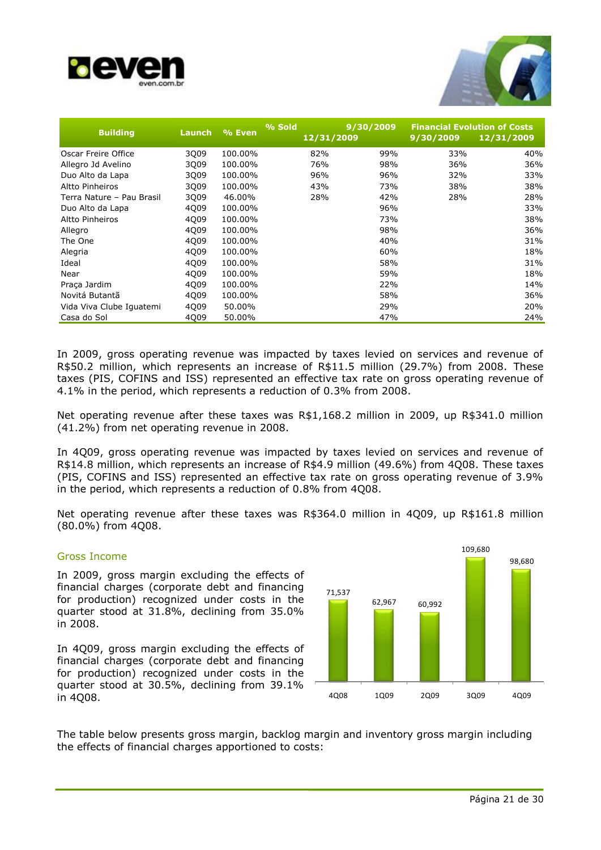![](_page_20_Picture_0.jpeg)

![](_page_20_Picture_1.jpeg)

| <b>Building</b>           | Launch | % Even  | % Sold<br>12/31/2009 | 9/30/2009 | <b>Financial Evolution of Costs</b><br>9/30/2009 | 12/31/2009 |
|---------------------------|--------|---------|----------------------|-----------|--------------------------------------------------|------------|
| Oscar Freire Office       | 3Q09   | 100.00% | 82%                  | 99%       | 33%                                              | 40%        |
| Allegro Jd Avelino        | 3Q09   | 100.00% | 76%                  | 98%       | 36%                                              | 36%        |
| Duo Alto da Lapa          | 3Q09   | 100.00% | 96%                  | 96%       | 32%                                              | 33%        |
| Altto Pinheiros           | 3009   | 100.00% | 43%                  | 73%       | 38%                                              | 38%        |
| Terra Nature - Pau Brasil | 3Q09   | 46.00%  | 28%                  | 42%       | 28%                                              | 28%        |
| Duo Alto da Lapa          | 4Q09   | 100.00% |                      | 96%       |                                                  | 33%        |
| <b>Altto Pinheiros</b>    | 4Q09   | 100.00% |                      | 73%       |                                                  | 38%        |
| Allegro                   | 4Q09   | 100.00% |                      | 98%       |                                                  | 36%        |
| The One                   | 4Q09   | 100.00% |                      | 40%       |                                                  | 31%        |
| Alegria                   | 4Q09   | 100.00% |                      | 60%       |                                                  | 18%        |
| Ideal                     | 4Q09   | 100.00% |                      | 58%       |                                                  | 31%        |
| Near                      | 4Q09   | 100.00% |                      | 59%       |                                                  | 18%        |
| Praça Jardim              | 4Q09   | 100.00% |                      | 22%       |                                                  | 14%        |
| Novitá Butantã            | 4009   | 100.00% |                      | 58%       |                                                  | 36%        |
| Vida Viva Clube Iquatemi  | 4Q09   | 50.00%  |                      | 29%       |                                                  | 20%        |
| Casa do Sol               | 4009   | 50.00%  |                      | 47%       |                                                  | 24%        |

In 2009, gross operating revenue was impacted by taxes levied on services and revenue of R\$50.2 million, which represents an increase of R\$11.5 million (29.7%) from 2008. These taxes (PIS, COFINS and ISS) represented an effective tax rate on gross operating revenue of 4.1% in the period, which represents a reduction of 0.3% from 2008.

Net operating revenue after these taxes was R\$1,168.2 million in 2009, up R\$341.0 million (41.2%) from net operating revenue in 2008.

In 4Q09, gross operating revenue was impacted by taxes levied on services and revenue of R\$14.8 million, which represents an increase of R\$4.9 million (49.6%) from 4Q08. These taxes (PIS, COFINS and ISS) represented an effective tax rate on gross operating revenue of 3.9% in the period, which represents a reduction of 0.8% from 4Q08.

Net operating revenue after these taxes was R\$364.0 million in 4Q09, up R\$161.8 million (80.0%) from 4Q08.

### Gross Income

In 2009, gross margin excluding the effects of financial charges (corporate debt and financing for production) recognized under costs in the quarter stood at 31.8%, declining from 35.0% in 2008.

In 4Q09, gross margin excluding the effects of financial charges (corporate debt and financing for production) recognized under costs in the quarter stood at 30.5%, declining from 39.1% in 4Q08.

![](_page_20_Figure_10.jpeg)

The table below presents gross margin, backlog margin and inventory gross margin including the effects of financial charges apportioned to costs: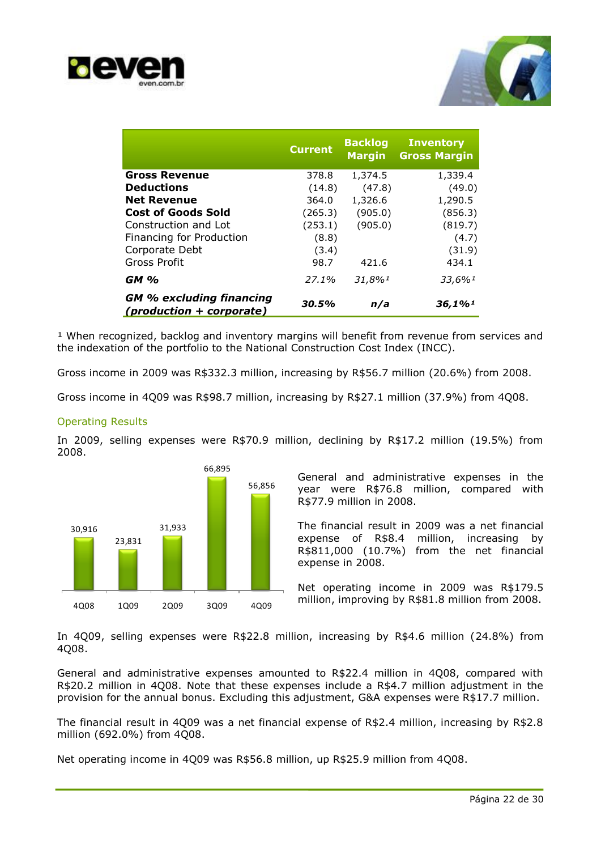![](_page_21_Picture_0.jpeg)

![](_page_21_Picture_1.jpeg)

|                                                             | <b>Current</b> | <b>Backlog</b><br><b>Margin</b> | <b>Inventory</b><br><b>Gross Margin</b> |
|-------------------------------------------------------------|----------------|---------------------------------|-----------------------------------------|
| <b>Gross Revenue</b>                                        | 378.8          | 1,374.5                         | 1,339.4                                 |
| <b>Deductions</b>                                           | (14.8)         | (47.8)                          | (49.0)                                  |
| <b>Net Revenue</b>                                          | 364.0          | 1,326.6                         | 1,290.5                                 |
| <b>Cost of Goods Sold</b>                                   | (265.3)        | (905.0)                         | (856.3)                                 |
| Construction and Lot                                        | (253.1)        | (905.0)                         | (819.7)                                 |
| Financing for Production                                    | (8.8)          |                                 | (4.7)                                   |
| Corporate Debt                                              | (3.4)          |                                 | (31.9)                                  |
| Gross Profit                                                | 98.7           | 421.6                           | 434.1                                   |
| <b>GM %</b>                                                 | 27.1%          | 31,8%1                          | 33,6%1                                  |
| <b>GM % excluding financing</b><br>(production + corporate) | 30.5%          | n/a                             | 36,1%                                   |

<sup>1</sup> When recognized, backlog and inventory margins will benefit from revenue from services and the indexation of the portfolio to the National Construction Cost Index (INCC).

Gross income in 2009 was R\$332.3 million, increasing by R\$56.7 million (20.6%) from 2008.

Gross income in 4Q09 was R\$98.7 million, increasing by R\$27.1 million (37.9%) from 4Q08.

### Operating Results

In 2009, selling expenses were R\$70.9 million, declining by R\$17.2 million (19.5%) from 2008.

![](_page_21_Figure_8.jpeg)

General and administrative expenses in the year were R\$76.8 million, compared with R\$77.9 million in 2008.

The financial result in 2009 was a net financial expense of R\$8.4 million, increasing by R\$811,000 (10.7%) from the net financial expense in 2008.

Net operating income in 2009 was R\$179.5 million, improving by R\$81.8 million from 2008.

In 4Q09, selling expenses were R\$22.8 million, increasing by R\$4.6 million (24.8%) from 4Q08.

General and administrative expenses amounted to R\$22.4 million in 4Q08, compared with R\$20.2 million in 4Q08. Note that these expenses include a R\$4.7 million adjustment in the provision for the annual bonus. Excluding this adjustment, G&A expenses were R\$17.7 million.

The financial result in 4Q09 was a net financial expense of R\$2.4 million, increasing by R\$2.8 million (692.0%) from 4Q08.

Net operating income in 4Q09 was R\$56.8 million, up R\$25.9 million from 4Q08.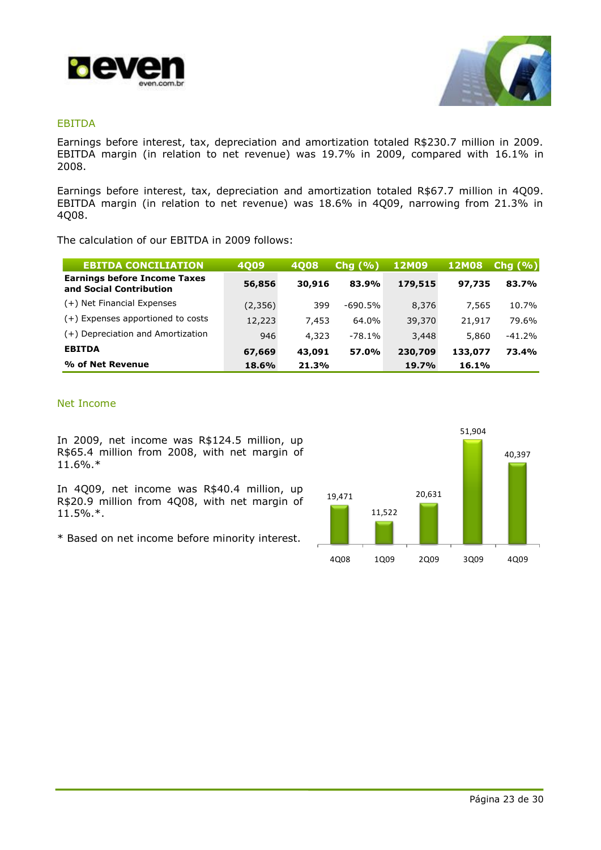![](_page_22_Picture_0.jpeg)

![](_page_22_Picture_1.jpeg)

### EBITDA

Earnings before interest, tax, depreciation and amortization totaled R\$230.7 million in 2009. EBITDA margin (in relation to net revenue) was 19.7% in 2009, compared with 16.1% in 2008.

Earnings before interest, tax, depreciation and amortization totaled R\$67.7 million in 4Q09. EBITDA margin (in relation to net revenue) was 18.6% in 4Q09, narrowing from 21.3% in 4Q08.

The calculation of our EBITDA in 2009 follows:

| <b>EBITDA CONCILIATION</b>                                     | <b>4Q09</b> | 4008   | Chg(% )   | <b>12M09</b> | <b>12M08</b> | Chg (%)  |
|----------------------------------------------------------------|-------------|--------|-----------|--------------|--------------|----------|
| <b>Earnings before Income Taxes</b><br>and Social Contribution | 56,856      | 30,916 | 83.9%     | 179,515      | 97,735       | 83.7%    |
| (+) Net Financial Expenses                                     | (2,356)     | 399    | $-690.5%$ | 8,376        | 7,565        | 10.7%    |
| (+) Expenses apportioned to costs                              | 12,223      | 7,453  | 64.0%     | 39,370       | 21,917       | 79.6%    |
| (+) Depreciation and Amortization                              | 946         | 4,323  | $-78.1%$  | 3,448        | 5,860        | $-41.2%$ |
| <b>EBITDA</b>                                                  | 67,669      | 43,091 | 57.0%     | 230,709      | 133,077      | 73.4%    |
| % of Net Revenue                                               | 18.6%       | 21.3%  |           | 19.7%        | 16.1%        |          |

### Net Income

In 2009, net income was R\$124.5 million, up R\$65.4 million from 2008, with net margin of 11.6%.\*

In 4Q09, net income was R\$40.4 million, up R\$20.9 million from 4Q08, with net margin of 11.5%.\*.

\* Based on net income before minority interest.

![](_page_22_Figure_11.jpeg)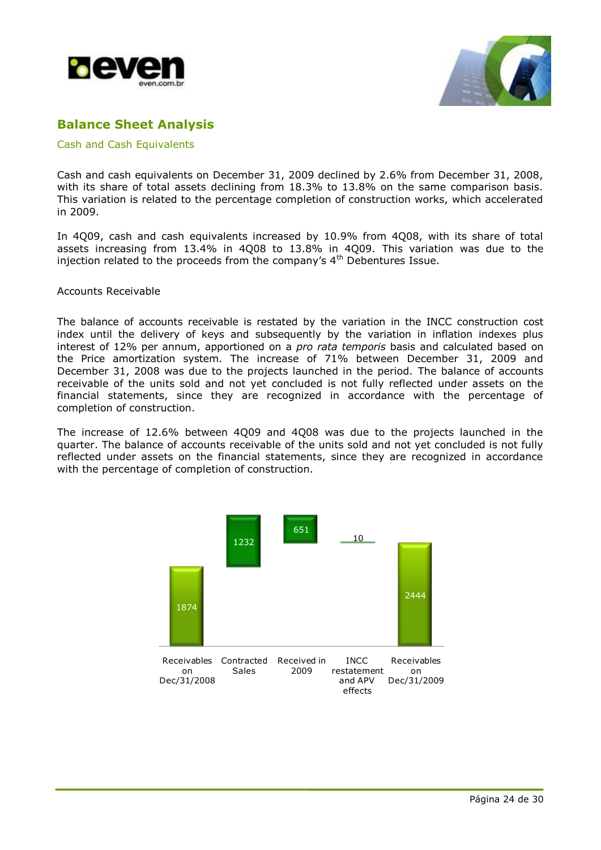![](_page_23_Picture_0.jpeg)

![](_page_23_Picture_1.jpeg)

## **Balance Sheet Analysis**

Cash and Cash Equivalents

Cash and cash equivalents on December 31, 2009 declined by 2.6% from December 31, 2008, with its share of total assets declining from 18.3% to 13.8% on the same comparison basis. This variation is related to the percentage completion of construction works, which accelerated in 2009.

In 4Q09, cash and cash equivalents increased by 10.9% from 4Q08, with its share of total assets increasing from 13.4% in 4Q08 to 13.8% in 4Q09. This variation was due to the injection related to the proceeds from the company's  $4<sup>th</sup>$  Debentures Issue.

### Accounts Receivable

The balance of accounts receivable is restated by the variation in the INCC construction cost index until the delivery of keys and subsequently by the variation in inflation indexes plus interest of 12% per annum, apportioned on a *pro rata temporis* basis and calculated based on the Price amortization system. The increase of 71% between December 31, 2009 and December 31, 2008 was due to the projects launched in the period. The balance of accounts receivable of the units sold and not yet concluded is not fully reflected under assets on the financial statements, since they are recognized in accordance with the percentage of completion of construction.

The increase of 12.6% between 4Q09 and 4Q08 was due to the projects launched in the quarter. The balance of accounts receivable of the units sold and not yet concluded is not fully reflected under assets on the financial statements, since they are recognized in accordance with the percentage of completion of construction.

![](_page_23_Figure_9.jpeg)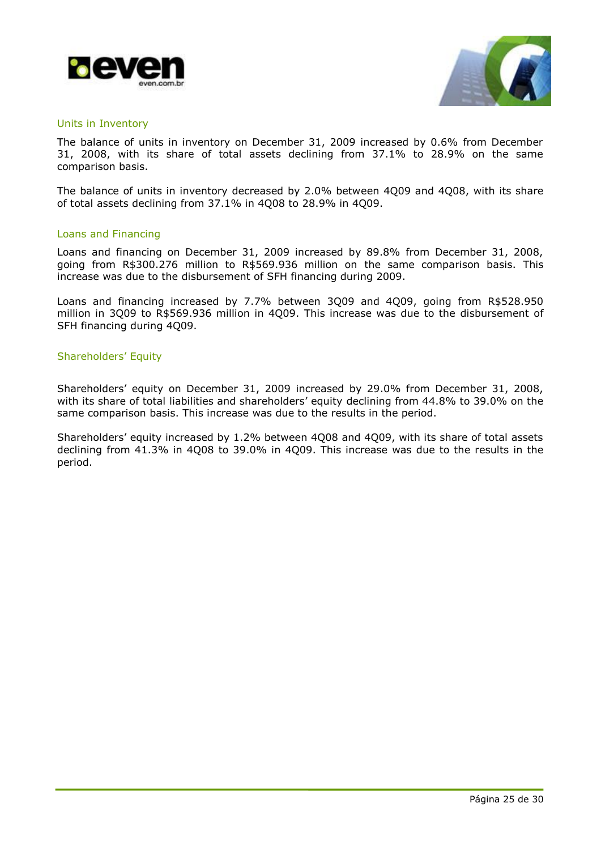![](_page_24_Picture_0.jpeg)

![](_page_24_Picture_1.jpeg)

### Units in Inventory

The balance of units in inventory on December 31, 2009 increased by 0.6% from December 31, 2008, with its share of total assets declining from 37.1% to 28.9% on the same comparison basis.

The balance of units in inventory decreased by 2.0% between 4Q09 and 4Q08, with its share of total assets declining from 37.1% in 4Q08 to 28.9% in 4Q09.

#### Loans and Financing

Loans and financing on December 31, 2009 increased by 89.8% from December 31, 2008, going from R\$300.276 million to R\$569.936 million on the same comparison basis. This increase was due to the disbursement of SFH financing during 2009.

Loans and financing increased by 7.7% between 3Q09 and 4Q09, going from R\$528.950 million in 3Q09 to R\$569.936 million in 4Q09. This increase was due to the disbursement of SFH financing during 4Q09.

#### Shareholders' Equity

Shareholders' equity on December 31, 2009 increased by 29.0% from December 31, 2008, with its share of total liabilities and shareholders' equity declining from 44.8% to 39.0% on the same comparison basis. This increase was due to the results in the period.

Shareholders' equity increased by 1.2% between 4Q08 and 4Q09, with its share of total assets declining from 41.3% in 4Q08 to 39.0% in 4Q09. This increase was due to the results in the period.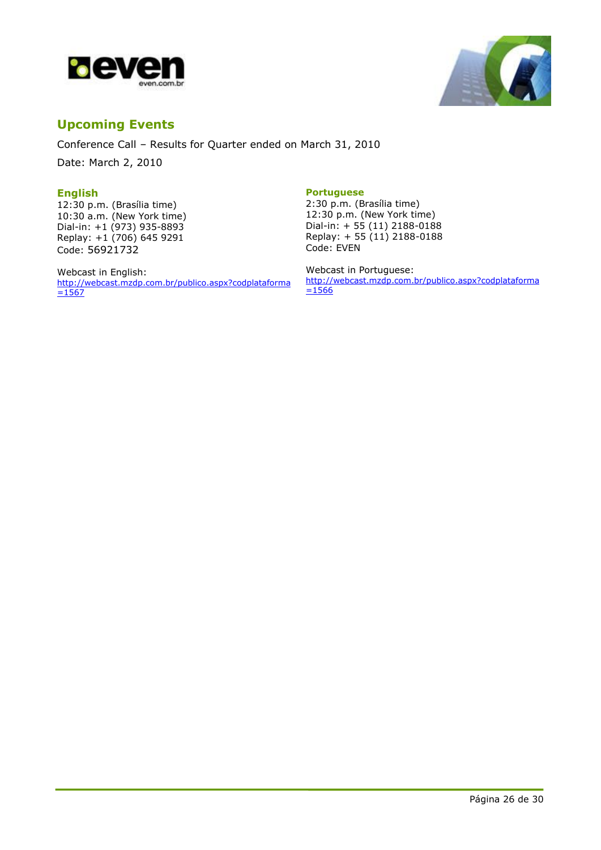![](_page_25_Picture_0.jpeg)

![](_page_25_Picture_1.jpeg)

## **Upcoming Events**

Conference Call – Results for Quarter ended on March 31, 2010

Date: March 2, 2010

### **English**

12:30 p.m. (Brasília time) 10:30 a.m. (New York time) Dial-in: +1 (973) 935-8893 Replay: +1 (706) 645 9291 Code: 56921732

Webcast in English: [http://webcast.mzdp.com.br/publico.aspx?codplataforma](http://webcast.mzdp.com.br/publico.aspx?codplataforma=1567)  $=1567$ 

#### **Portuguese**

2:30 p.m. (Brasília time) 12:30 p.m. (New York time) Dial-in: + 55 (11) 2188-0188 Replay: + 55 (11) 2188-0188 Code: EVEN

Webcast in Portuguese: [http://webcast.mzdp.com.br/publico.aspx?codplataforma](http://webcast.mzdp.com.br/publico.aspx?codplataforma=1566)  $=1566$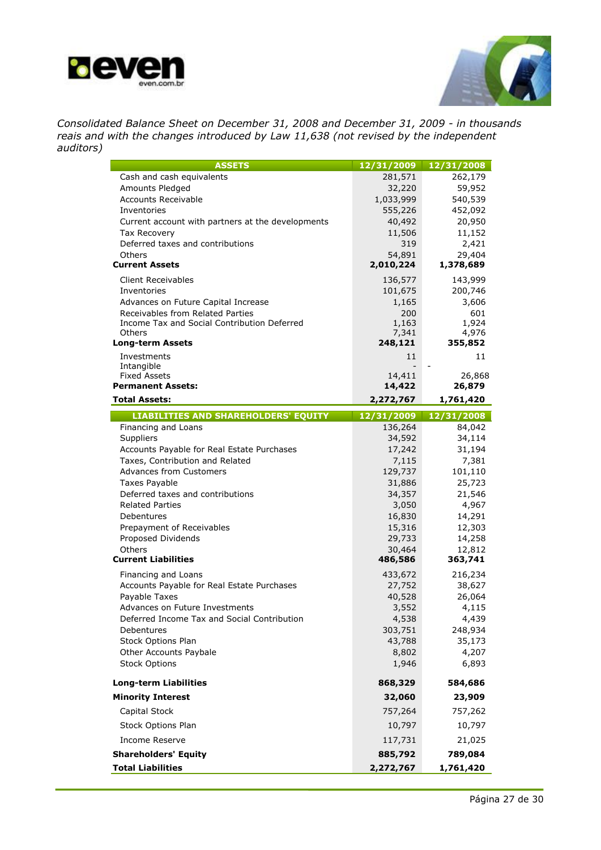![](_page_26_Picture_0.jpeg)

![](_page_26_Picture_1.jpeg)

*Consolidated Balance Sheet on December 31, 2008 and December 31, 2009 - in thousands reais and with the changes introduced by Law 11,638 (not revised by the independent auditors)*

| <b>ASSETS</b>                                     | 12/31/2009       | 12/31/2008       |
|---------------------------------------------------|------------------|------------------|
| Cash and cash equivalents                         | 281,571          | 262,179          |
| Amounts Pledged                                   | 32,220           | 59,952           |
| <b>Accounts Receivable</b>                        | 1,033,999        | 540,539          |
| Inventories                                       | 555,226          | 452,092          |
| Current account with partners at the developments | 40,492           | 20,950           |
| <b>Tax Recovery</b>                               | 11,506           | 11,152           |
| Deferred taxes and contributions<br>Others        | 319<br>54,891    | 2,421<br>29,404  |
| <b>Current Assets</b>                             | 2,010,224        | 1,378,689        |
| <b>Client Receivables</b>                         | 136,577          | 143,999          |
| Inventories                                       | 101,675          | 200,746          |
| Advances on Future Capital Increase               | 1,165            | 3,606            |
| Receivables from Related Parties                  | 200              | 601              |
| Income Tax and Social Contribution Deferred       | 1,163            | 1,924            |
| Others                                            | 7,341            | 4,976            |
| <b>Long-term Assets</b>                           | 248,121          | 355,852          |
| Investments                                       | 11               | 11               |
| Intangible<br><b>Fixed Assets</b>                 | 14,411           | 26,868           |
| <b>Permanent Assets:</b>                          | 14,422           | 26,879           |
| <b>Total Assets:</b>                              | 2,272,767        | 1,761,420        |
| <b>LIABILITIES AND SHAREHOLDERS' EQUITY</b>       | 12/31/2009       | 12/31/2008       |
| Financing and Loans                               | 136,264          | 84,042           |
| Suppliers                                         | 34,592           | 34,114           |
| Accounts Payable for Real Estate Purchases        | 17,242           | 31,194           |
| Taxes, Contribution and Related                   | 7,115            | 7,381            |
| <b>Advances from Customers</b>                    | 129,737          | 101,110          |
| <b>Taxes Payable</b>                              | 31,886           | 25,723           |
| Deferred taxes and contributions                  | 34,357           | 21,546           |
| <b>Related Parties</b>                            | 3,050            | 4,967            |
| Debentures                                        | 16,830<br>15,316 | 14,291<br>12,303 |
| Prepayment of Receivables<br>Proposed Dividends   | 29,733           | 14,258           |
| Others                                            | 30,464           | 12,812           |
| <b>Current Liabilities</b>                        | 486,586          | 363,741          |
| Financing and Loans                               | 433,672          | 216,234          |
| Accounts Payable for Real Estate Purchases        | 27,752           | 38,627           |
| Payable Taxes                                     | 40,528           | 26,064           |
| Advances on Future Investments                    | 3,552            | 4,115            |
| Deferred Income Tax and Social Contribution       | 4,538            | 4,439            |
| Debentures                                        | 303,751          | 248,934          |
| Stock Options Plan                                | 43,788           | 35,173           |
| Other Accounts Paybale                            | 8,802            | 4,207            |
| <b>Stock Options</b>                              | 1,946            | 6,893            |
| <b>Long-term Liabilities</b>                      | 868,329          | 584,686          |
| <b>Minority Interest</b>                          | 32,060           | 23,909           |
| Capital Stock                                     | 757,264          | 757,262          |
| Stock Options Plan                                | 10,797           | 10,797           |
| <b>Income Reserve</b>                             | 117,731          | 21,025           |
| <b>Shareholders' Equity</b>                       | 885,792          | 789,084          |
| <b>Total Liabilities</b>                          | 2,272,767        | 1,761,420        |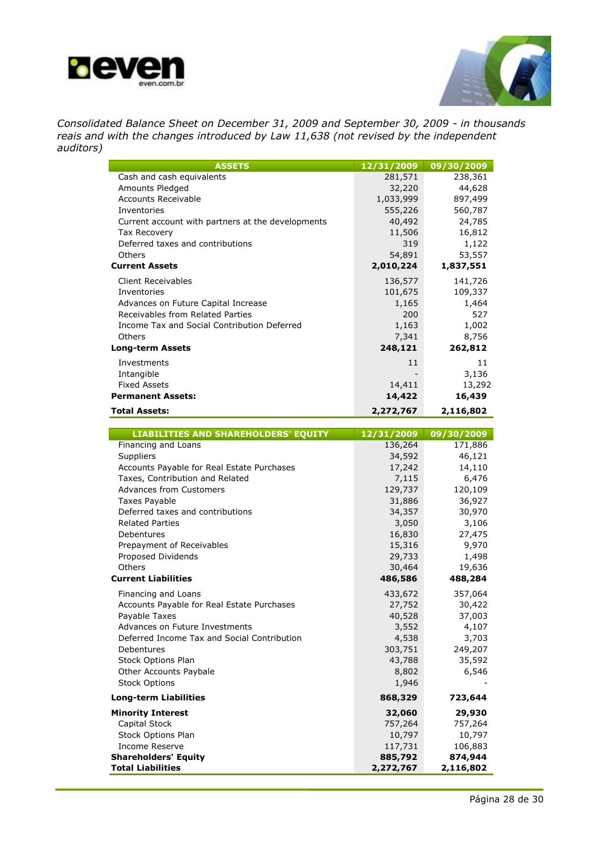![](_page_27_Picture_0.jpeg)

![](_page_27_Picture_1.jpeg)

*Consolidated Balance Sheet on December 31, 2009 and September 30, 2009 - in thousands reais and with the changes introduced by Law 11,638 (not revised by the independent auditors)*

| <b>ASSETS</b>                                                      | 12/31/2009            | 09/30/2009            |
|--------------------------------------------------------------------|-----------------------|-----------------------|
| Cash and cash equivalents                                          | 281,571               | 238,361               |
| Amounts Pledged                                                    | 32,220                | 44,628                |
| <b>Accounts Receivable</b>                                         | 1,033,999             | 897,499               |
| Inventories                                                        | 555,226               | 560,787               |
| Current account with partners at the developments                  | 40,492                | 24,785                |
| Tax Recovery                                                       | 11,506                | 16,812                |
| Deferred taxes and contributions                                   | 319                   | 1,122                 |
| Others                                                             | 54,891                | 53,557                |
| <b>Current Assets</b>                                              | 2,010,224             | 1,837,551             |
| <b>Client Receivables</b>                                          | 136,577               | 141,726               |
| Inventories                                                        | 101,675               | 109,337               |
| Advances on Future Capital Increase                                | 1,165                 | 1,464                 |
| Receivables from Related Parties                                   | 200                   | 527                   |
| Income Tax and Social Contribution Deferred                        | 1,163                 | 1,002                 |
| Others                                                             | 7,341                 | 8,756                 |
| <b>Long-term Assets</b>                                            | 248,121               | 262,812               |
| Investments                                                        | 11                    | 11                    |
| Intangible                                                         |                       | 3,136                 |
| <b>Fixed Assets</b>                                                | 14,411                | 13,292                |
| <b>Permanent Assets:</b>                                           | 14,422                | 16,439                |
| <b>Total Assets:</b>                                               | 2,272,767             | 2,116,802             |
|                                                                    |                       |                       |
| <b>LIABILITIES AND SHAREHOLDERS' EQUITY</b><br>Financing and Loans | 12/31/2009<br>136,264 | 09/30/2009<br>171,886 |
| Suppliers                                                          | 34,592                | 46,121                |
| Accounts Payable for Real Estate Purchases                         | 17,242                | 14,110                |
| Taxes, Contribution and Related                                    | 7,115                 | 6,476                 |
| <b>Advances from Customers</b>                                     | 129,737               | 120,109               |
| Taxes Payable                                                      | 31,886                | 36,927                |
| Deferred taxes and contributions                                   | 34,357                | 30,970                |
| <b>Related Parties</b>                                             | 3,050                 | 3,106                 |
| Debentures                                                         | 16,830                | 27,475                |
| Prepayment of Receivables                                          | 15,316                | 9,970                 |
| Proposed Dividends                                                 | 29,733                | 1,498                 |
| Others                                                             | 30,464                | 19,636                |
| <b>Current Liabilities</b>                                         | 486,586               | 488,284               |
| Financing and Loans                                                | 433,672               | 357,064               |
| Accounts Payable for Real Estate Purchases                         | 27,752                | 30,422                |
| Payable Taxes                                                      | 40,528                | 37,003                |
| Advances on Future Investments                                     | 3,552                 | 4,107                 |
| Deferred Income Tax and Social Contribution                        | 4,538                 | 3,703                 |
| Debentures                                                         | 303,751               | 249,207               |
| Stock Options Plan                                                 | 43,788                | 35,592                |
| Other Accounts Paybale                                             | 8,802                 | 6,546                 |
| <b>Stock Options</b>                                               | 1,946                 |                       |
| <b>Long-term Liabilities</b>                                       | 868,329               | 723,644               |
| <b>Minority Interest</b>                                           | 32,060                | 29,930                |
| Capital Stock                                                      | 757,264               | 757,264               |
| Stock Options Plan                                                 | 10,797                | 10,797                |
| Income Reserve                                                     | 117,731               | 106,883               |
| <b>Shareholders' Equity</b>                                        | 885,792               | 874,944               |
| <b>Total Liabilities</b>                                           | 2,272,767             | 2,116,802             |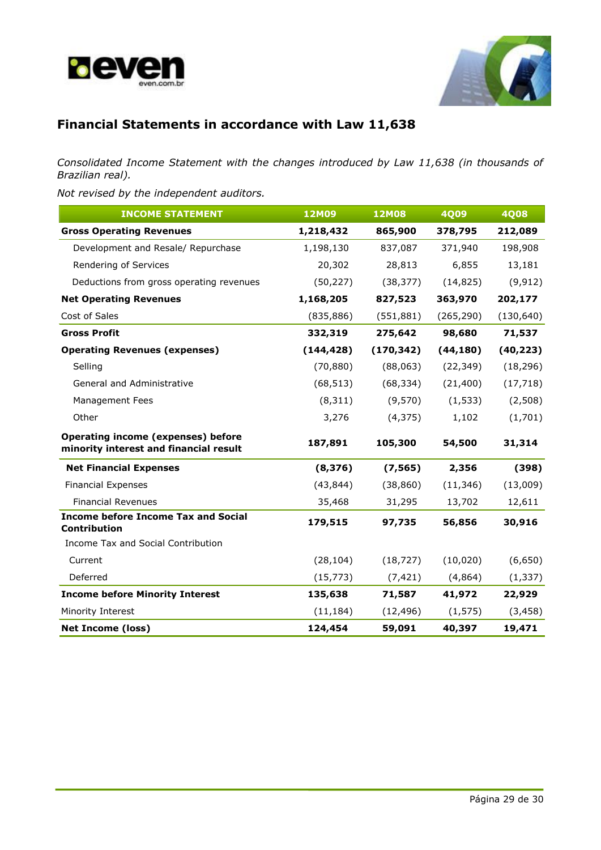![](_page_28_Picture_0.jpeg)

![](_page_28_Picture_1.jpeg)

# **Financial Statements in accordance with Law 11,638**

*Consolidated Income Statement with the changes introduced by Law 11,638 (in thousands of Brazilian real).*

*Not revised by the independent auditors.*

| <b>INCOME STATEMENT</b>                                                             | <b>12M09</b> | <b>12M08</b> | <b>4Q09</b> | <b>4Q08</b> |
|-------------------------------------------------------------------------------------|--------------|--------------|-------------|-------------|
| <b>Gross Operating Revenues</b>                                                     | 1,218,432    | 865,900      | 378,795     | 212,089     |
| Development and Resale/ Repurchase                                                  | 1,198,130    | 837,087      | 371,940     | 198,908     |
| Rendering of Services                                                               | 20,302       | 28,813       | 6,855       | 13,181      |
| Deductions from gross operating revenues                                            | (50, 227)    | (38, 377)    | (14, 825)   | (9, 912)    |
| <b>Net Operating Revenues</b>                                                       | 1,168,205    | 827,523      | 363,970     | 202,177     |
| Cost of Sales                                                                       | (835, 886)   | (551, 881)   | (265, 290)  | (130, 640)  |
| <b>Gross Profit</b>                                                                 | 332,319      | 275,642      | 98,680      | 71,537      |
| <b>Operating Revenues (expenses)</b>                                                | (144, 428)   | (170, 342)   | (44, 180)   | (40, 223)   |
| Selling                                                                             | (70, 880)    | (88,063)     | (22, 349)   | (18, 296)   |
| <b>General and Administrative</b>                                                   | (68, 513)    | (68, 334)    | (21, 400)   | (17, 718)   |
| Management Fees                                                                     | (8, 311)     | (9,570)      | (1, 533)    | (2,508)     |
| Other                                                                               | 3,276        | (4, 375)     | 1,102       | (1,701)     |
| <b>Operating income (expenses) before</b><br>minority interest and financial result | 187,891      | 105,300      | 54,500      | 31,314      |
| <b>Net Financial Expenses</b>                                                       | (8, 376)     | (7, 565)     | 2,356       | (398)       |
| <b>Financial Expenses</b>                                                           | (43, 844)    | (38, 860)    | (11, 346)   | (13,009)    |
| <b>Financial Revenues</b>                                                           | 35,468       | 31,295       | 13,702      | 12,611      |
| <b>Income before Income Tax and Social</b><br>Contribution                          | 179,515      | 97,735       | 56,856      | 30,916      |
| Income Tax and Social Contribution                                                  |              |              |             |             |
| Current                                                                             | (28, 104)    | (18, 727)    | (10, 020)   | (6,650)     |
| Deferred                                                                            | (15, 773)    | (7, 421)     | (4,864)     | (1, 337)    |
| <b>Income before Minority Interest</b>                                              | 135,638      | 71,587       | 41,972      | 22,929      |
| Minority Interest                                                                   | (11, 184)    | (12, 496)    | (1, 575)    | (3, 458)    |
| <b>Net Income (loss)</b>                                                            | 124,454      | 59,091       | 40,397      | 19,471      |